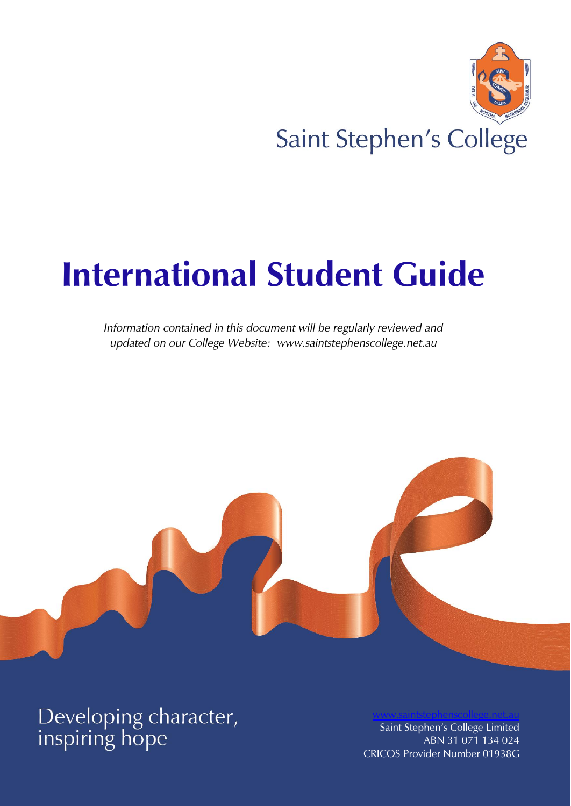

# **International Student Guide**

*Information contained in this document will be regularly reviewed and updated on our College Website: [www.saintstephenscollege.net.au](http://www.saintstephenscollege.net.au/)*



Developing character,<br>inspiring hope

Saint Stephen's College Limited ABN 31 071 134 024 CRICOS Provider Number 01938G

[www.saintstephenscollege.net.au](http://www.saintstephenscollege.net.au/)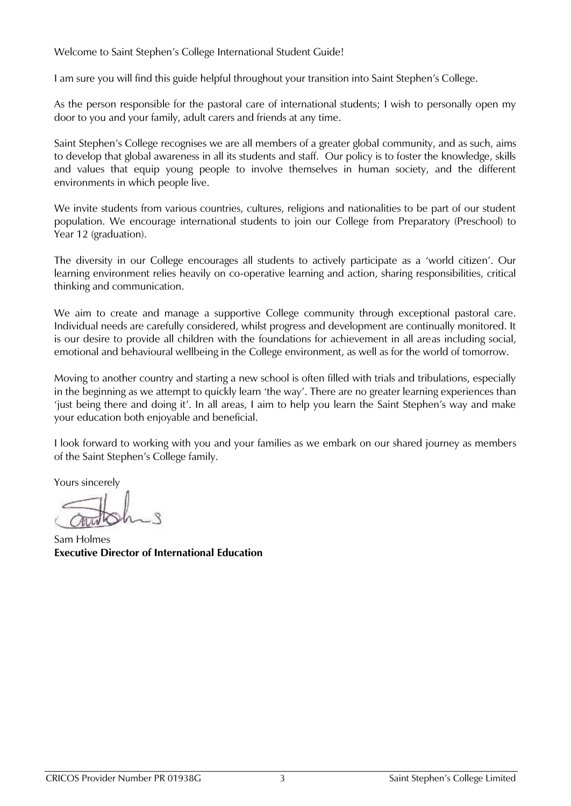Welcome to Saint Stephen's College International Student Guide!

I am sure you will find this guide helpful throughout your transition into Saint Stephen's College.

As the person responsible for the pastoral care of international students; I wish to personally open my door to you and your family, adult carers and friends at any time.

Saint Stephen's College recognises we are all members of a greater global community, and as such, aims to develop that global awareness in all its students and staff. Our policy is to foster the knowledge, skills and values that equip young people to involve themselves in human society, and the different environments in which people live.

We invite students from various countries, cultures, religions and nationalities to be part of our student population. We encourage international students to join our College from Preparatory (Preschool) to Year 12 (graduation).

The diversity in our College encourages all students to actively participate as a 'world citizen'. Our learning environment relies heavily on co-operative learning and action, sharing responsibilities, critical thinking and communication.

We aim to create and manage a supportive College community through exceptional pastoral care. Individual needs are carefully considered, whilst progress and development are continually monitored. It is our desire to provide all children with the foundations for achievement in all areas including social, emotional and behavioural wellbeing in the College environment, as well as for the world of tomorrow.

Moving to another country and starting a new school is often filled with trials and tribulations, especially in the beginning as we attempt to quickly learn 'the way'. There are no greater learning experiences than 'just being there and doing it'. In all areas, I aim to help you learn the Saint Stephen's way and make your education both enjoyable and beneficial.

I look forward to working with you and your families as we embark on our shared journey as members of the Saint Stephen's College family.

Yours sincerely

Sam Holmes **Executive Director of International Education**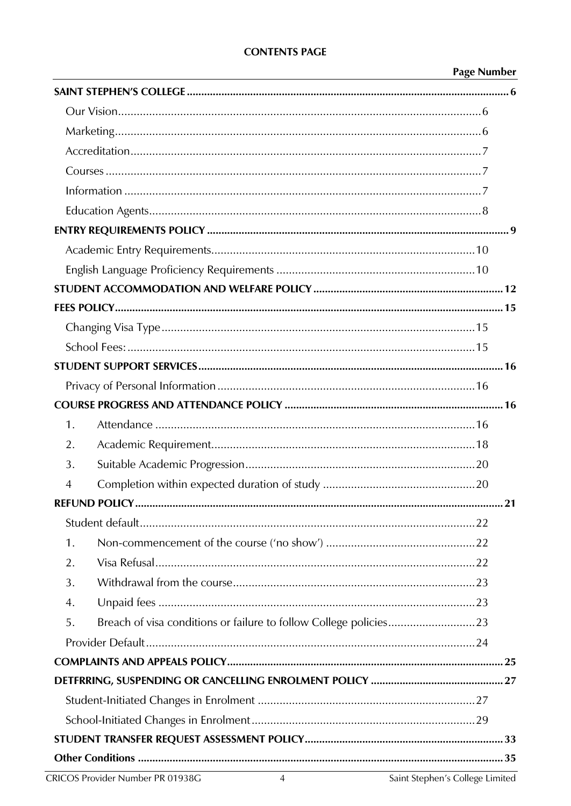## **CONTENTS PAGE**

## **Page Number**

| 1.                                                                      |  |
|-------------------------------------------------------------------------|--|
| 2.                                                                      |  |
| 3.                                                                      |  |
| 4                                                                       |  |
|                                                                         |  |
|                                                                         |  |
| 1.                                                                      |  |
| 2.                                                                      |  |
| 3.                                                                      |  |
| 4.                                                                      |  |
| Breach of visa conditions or failure to follow College policies23<br>5. |  |
|                                                                         |  |
|                                                                         |  |
|                                                                         |  |
|                                                                         |  |
|                                                                         |  |
|                                                                         |  |
|                                                                         |  |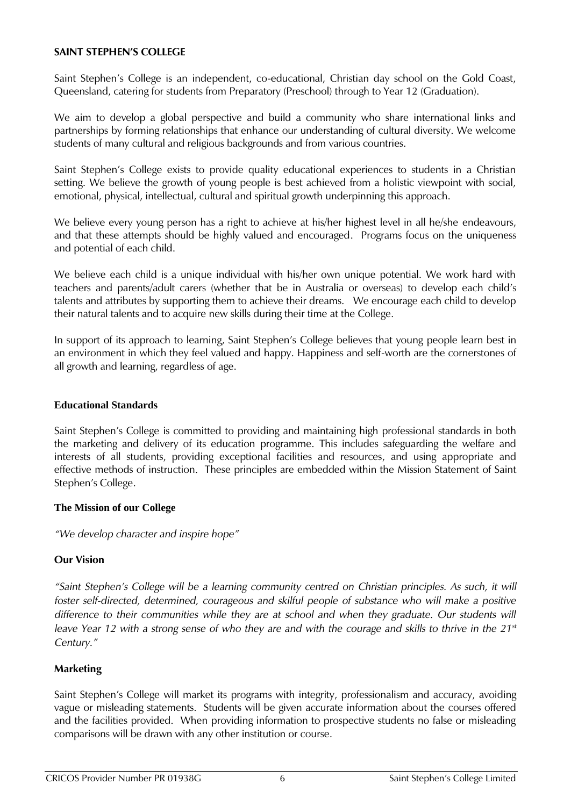#### <span id="page-4-0"></span>**SAINT STEPHEN'S COLLEGE**

Saint Stephen's College is an independent, co-educational, Christian day school on the Gold Coast, Queensland, catering for students from Preparatory (Preschool) through to Year 12 (Graduation).

We aim to develop a global perspective and build a community who share international links and partnerships by forming relationships that enhance our understanding of cultural diversity. We welcome students of many cultural and religious backgrounds and from various countries.

Saint Stephen's College exists to provide quality educational experiences to students in a Christian setting. We believe the growth of young people is best achieved from a holistic viewpoint with social, emotional, physical, intellectual, cultural and spiritual growth underpinning this approach.

We believe every young person has a right to achieve at his/her highest level in all he/she endeavours, and that these attempts should be highly valued and encouraged. Programs focus on the uniqueness and potential of each child.

We believe each child is a unique individual with his/her own unique potential. We work hard with teachers and parents/adult carers (whether that be in Australia or overseas) to develop each child's talents and attributes by supporting them to achieve their dreams. We encourage each child to develop their natural talents and to acquire new skills during their time at the College.

In support of its approach to learning, Saint Stephen's College believes that young people learn best in an environment in which they feel valued and happy. Happiness and self-worth are the cornerstones of all growth and learning, regardless of age.

#### **Educational Standards**

Saint Stephen's College is committed to providing and maintaining high professional standards in both the marketing and delivery of its education programme. This includes safeguarding the welfare and interests of all students, providing exceptional facilities and resources, and using appropriate and effective methods of instruction. These principles are embedded within the Mission Statement of Saint Stephen's College.

#### **The Mission of our College**

*"We develop character and inspire hope"*

## <span id="page-4-1"></span>**Our Vision**

*"Saint Stephen's College will be a learning community centred on Christian principles. As such, it will foster self-directed, determined, courageous and skilful people of substance who will make a positive*  difference to their communities while they are at school and when they graduate. Our students will *leave Year 12 with a strong sense of who they are and with the courage and skills to thrive in the 21st Century."*

## <span id="page-4-2"></span>**Marketing**

Saint Stephen's College will market its programs with integrity, professionalism and accuracy, avoiding vague or misleading statements. Students will be given accurate information about the courses offered and the facilities provided. When providing information to prospective students no false or misleading comparisons will be drawn with any other institution or course.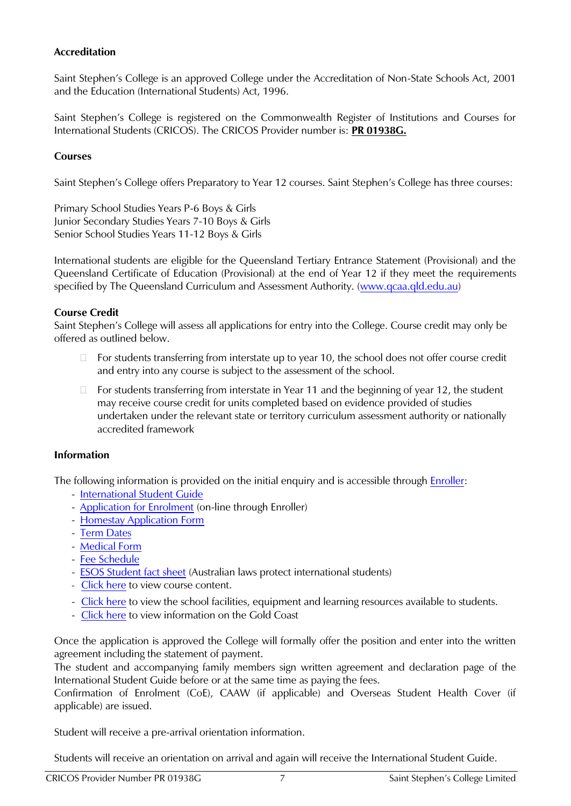## <span id="page-5-0"></span>**Accreditation**

Saint Stephen's College is an approved College under the Accreditation of Non-State Schools Act, 2001 and the Education (International Students) Act, 1996.

Saint Stephen's College is registered on the Commonwealth Register of Institutions and Courses for International Students (CRICOS). The CRICOS Provider number is: **PR 01938G.**

## <span id="page-5-1"></span>**Courses**

Saint Stephen's College offers Preparatory to Year 12 courses. Saint Stephen's College has three courses:

Primary School Studies Years P-6 Boys & Girls Junior Secondary Studies Years 7-10 Boys & Girls Senior School Studies Years 11-12 Boys & Girls

International students are eligible for the Queensland Tertiary Entrance Statement (Provisional) and the Queensland Certificate of Education (Provisional) at the end of Year 12 if they meet the requirements specified by The Queensland Curriculum and Assessment Authority. [\(www.qcaa.qld.edu.au\)](http://www.qcaa.qld.edu.au/)

## **Course Credit**

Saint Stephen's College will assess all applications for entry into the College. Course credit may only be offered as outlined below.

- □ For students transferring from interstate up to year 10, the school does not offer course credit and entry into any course is subject to the assessment of the school.
- $\Box$  For students transferring from interstate in Year 11 and the beginning of year 12, the student may receive course credit for units completed based on evidence provided of studies undertaken under the relevant state or territory curriculum assessment authority or nationally accredited framework

#### <span id="page-5-2"></span>**Information**

The following information is provided on the initial enquiry and is accessible through [Enroller:](https://enroller.app/saint-stephens-college-au/enrolment-application)

- [International Student Guide](https://www.saintstephenscollege.net.au/international-students/enrolment-process/)
- [Application for Enrolment](https://enroller.app/saint-stephens-college-au/enrolment-application) (on-line through Enroller)
- [Homestay Application Form](https://www.saintstephenscollege.net.au/international-students/accommodation/)
- [Term Dates](https://www.saintstephenscollege.net.au/quick-links/term-dates/)
- [Medical Form](https://www.saintstephenscollege.net.au/resources/medical-information-form/)
- [Fee Schedule](https://www.saintstephenscollege.net.au/international-students/school-fees-international-students-2/)
- [ESOS Student fact sheet](https://internationaleducation.gov.au/Regulatory-Information/Documents/esosstudentfactsheetv4%20-%20Final%20clean%20copy.pdf) (Australian laws protect international students)
- [Click here](http://www.saintstephenscollege.net.au/international-students/international-courses/) to view course content.
- [Click here](http://www.saintstephenscollege.net.au/our-college/life-saint-stephens-college/) to view the school facilities, equipment and learning resources available to students.
- [Click here](https://www.studyqueensland.qld.gov.au/Live/Cities/Gold-Coast) to view information on the Gold Coast

Once the application is approved the College will formally offer the position and enter into the written agreement including the statement of payment.

The student and accompanying family members sign written agreement and declaration page of the International Student Guide before or at the same time as paying the fees.

Confirmation of Enrolment (CoE), CAAW (if applicable) and Overseas Student Health Cover (if applicable) are issued.

Student will receive a pre-arrival orientation information.

Students will receive an orientation on arrival and again will receive the International Student Guide.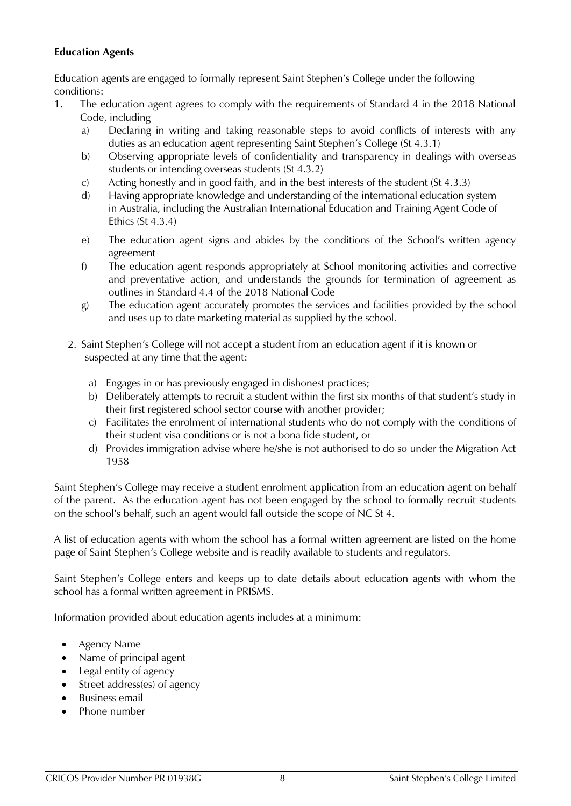## <span id="page-6-0"></span>**Education Agents**

Education agents are engaged to formally represent Saint Stephen's College under the following conditions:

- 1. The education agent agrees to comply with the requirements of Standard 4 in the 2018 National Code, including
	- a) Declaring in writing and taking reasonable steps to avoid conflicts of interests with any duties as an education agent representing Saint Stephen's College (St 4.3.1)
	- b) Observing appropriate levels of confidentiality and transparency in dealings with overseas students or intending overseas students (St 4.3.2)
	- c) Acting honestly and in good faith, and in the best interests of the student (St 4.3.3)
	- d) Having appropriate knowledge and understanding of the international education system in Australia, including the [Australian International Education and Training Agent Code of](https://internationaleducation.gov.au/News/Latest-News/Documents/Australian%20International%20Education%20and%20Training%20-%20Agent%20Code%20of%20Ethics.pdf)  [Ethics](https://internationaleducation.gov.au/News/Latest-News/Documents/Australian%20International%20Education%20and%20Training%20-%20Agent%20Code%20of%20Ethics.pdf) (St 4.3.4)
	- e) The education agent signs and abides by the conditions of the School's written agency agreement
	- f) The education agent responds appropriately at School monitoring activities and corrective and preventative action, and understands the grounds for termination of agreement as outlines in Standard 4.4 of the 2018 National Code
	- g) The education agent accurately promotes the services and facilities provided by the school and uses up to date marketing material as supplied by the school.
	- 2. Saint Stephen's College will not accept a student from an education agent if it is known or suspected at any time that the agent:
		- a) Engages in or has previously engaged in dishonest practices;
		- b) Deliberately attempts to recruit a student within the first six months of that student's study in their first registered school sector course with another provider;
		- c) Facilitates the enrolment of international students who do not comply with the conditions of their student visa conditions or is not a bona fide student, or
		- d) Provides immigration advise where he/she is not authorised to do so under the Migration Act 1958

Saint Stephen's College may receive a student enrolment application from an education agent on behalf of the parent. As the education agent has not been engaged by the school to formally recruit students on the school's behalf, such an agent would fall outside the scope of NC St 4.

A list of education agents with whom the school has a formal written agreement are listed on the home page of Saint Stephen's College website and is readily available to students and regulators.

Saint Stephen's College enters and keeps up to date details about education agents with whom the school has a formal written agreement in PRISMS.

Information provided about education agents includes at a minimum:

- Agency Name
- Name of principal agent
- Legal entity of agency
- Street address(es) of agency
- Business email
- Phone number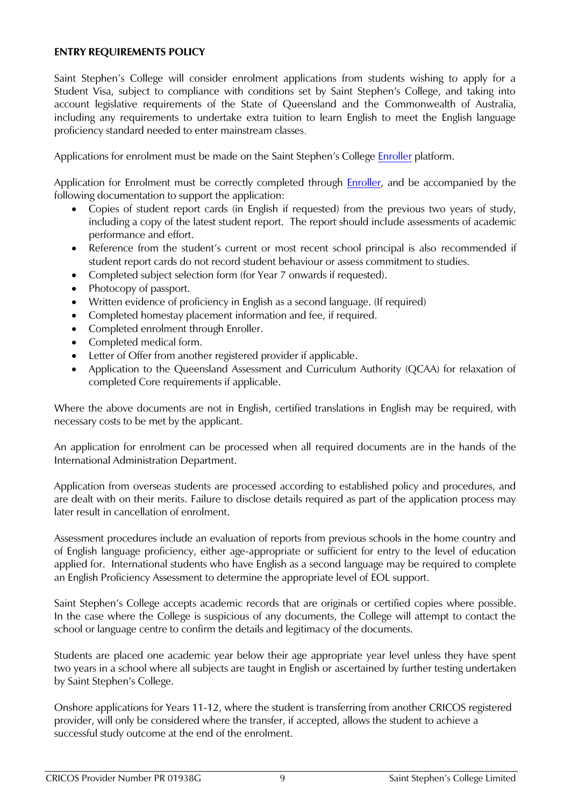#### <span id="page-7-0"></span>**ENTRY REQUIREMENTS POLICY**

Saint Stephen's College will consider enrolment applications from students wishing to apply for a Student Visa, subject to compliance with conditions set by Saint Stephen's College, and taking into account legislative requirements of the State of Queensland and the Commonwealth of Australia, including any requirements to undertake extra tuition to learn English to meet the English language proficiency standard needed to enter mainstream classes.

Applications for enrolment must be made on the Saint Stephen's College [Enroller](https://enroller.app/saint-stephens-college-au/enrolment-application) platform.

Application for Enrolment must be correctly completed through [Enroller,](https://enroller.app/saint-stephens-college-au/enrolment-application) and be accompanied by the following documentation to support the application:

- Copies of student report cards (in English if requested) from the previous two years of study, including a copy of the latest student report. The report should include assessments of academic performance and effort.
- Reference from the student's current or most recent school principal is also recommended if student report cards do not record student behaviour or assess commitment to studies.
- Completed subject selection form (for Year 7 onwards if requested).
- Photocopy of passport.
- Written evidence of proficiency in English as a second language. (If required)
- Completed homestay placement information and fee, if required.
- Completed enrolment through Enroller.
- Completed medical form.
- Letter of Offer from another registered provider if applicable.
- Application to the Queensland Assessment and Curriculum Authority (QCAA) for relaxation of completed Core requirements if applicable.

Where the above documents are not in English, certified translations in English may be required, with necessary costs to be met by the applicant.

An application for enrolment can be processed when all required documents are in the hands of the International Administration Department.

Application from overseas students are processed according to established policy and procedures, and are dealt with on their merits. Failure to disclose details required as part of the application process may later result in cancellation of enrolment.

Assessment procedures include an evaluation of reports from previous schools in the home country and of English language proficiency, either age-appropriate or sufficient for entry to the level of education applied for. International students who have English as a second language may be required to complete an English Proficiency Assessment to determine the appropriate level of EOL support.

Saint Stephen's College accepts academic records that are originals or certified copies where possible. In the case where the College is suspicious of any documents, the College will attempt to contact the school or language centre to confirm the details and legitimacy of the documents.

Students are placed one academic year below their age appropriate year level unless they have spent two years in a school where all subjects are taught in English or ascertained by further testing undertaken by Saint Stephen's College.

Onshore applications for Years 11-12, where the student is transferring from another CRICOS registered provider, will only be considered where the transfer, if accepted, allows the student to achieve a successful study outcome at the end of the enrolment.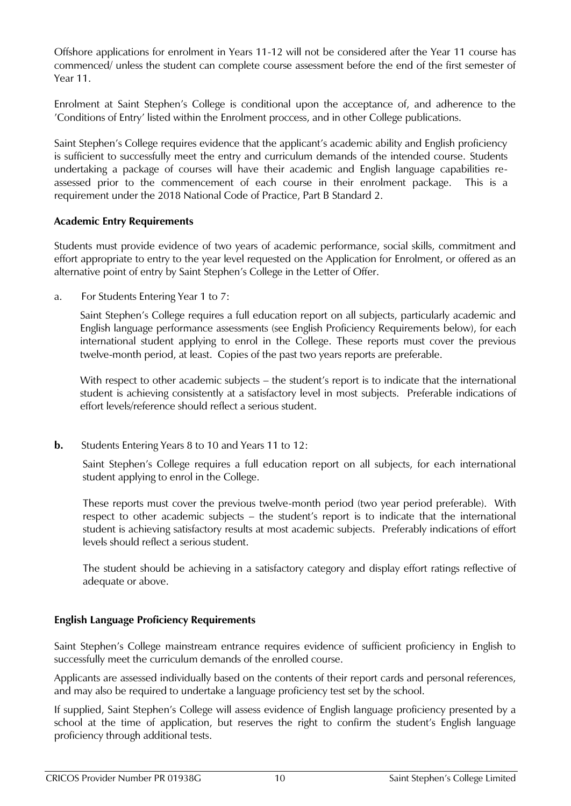Offshore applications for enrolment in Years 11-12 will not be considered after the Year 11 course has commenced/ unless the student can complete course assessment before the end of the first semester of Year 11.

Enrolment at Saint Stephen's College is conditional upon the acceptance of, and adherence to the 'Conditions of Entry' listed within the Enrolment proccess, and in other College publications.

Saint Stephen's College requires evidence that the applicant's academic ability and English proficiency is sufficient to successfully meet the entry and curriculum demands of the intended course. Students undertaking a package of courses will have their academic and English language capabilities reassessed prior to the commencement of each course in their enrolment package. This is a requirement under the 2018 National Code of Practice, Part B Standard 2.

## <span id="page-8-0"></span>**Academic Entry Requirements**

Students must provide evidence of two years of academic performance, social skills, commitment and effort appropriate to entry to the year level requested on the Application for Enrolment, or offered as an alternative point of entry by Saint Stephen's College in the Letter of Offer.

a. For Students Entering Year 1 to 7:

Saint Stephen's College requires a full education report on all subjects, particularly academic and English language performance assessments (see English Proficiency Requirements below), for each international student applying to enrol in the College. These reports must cover the previous twelve-month period, at least. Copies of the past two years reports are preferable.

With respect to other academic subjects – the student's report is to indicate that the international student is achieving consistently at a satisfactory level in most subjects. Preferable indications of effort levels/reference should reflect a serious student.

**b.** Students Entering Years 8 to 10 and Years 11 to 12:

Saint Stephen's College requires a full education report on all subjects, for each international student applying to enrol in the College.

These reports must cover the previous twelve-month period (two year period preferable). With respect to other academic subjects – the student's report is to indicate that the international student is achieving satisfactory results at most academic subjects. Preferably indications of effort levels should reflect a serious student.

The student should be achieving in a satisfactory category and display effort ratings reflective of adequate or above.

## <span id="page-8-1"></span>**English Language Proficiency Requirements**

Saint Stephen's College mainstream entrance requires evidence of sufficient proficiency in English to successfully meet the curriculum demands of the enrolled course.

Applicants are assessed individually based on the contents of their report cards and personal references, and may also be required to undertake a language proficiency test set by the school.

If supplied, Saint Stephen's College will assess evidence of English language proficiency presented by a school at the time of application, but reserves the right to confirm the student's English language proficiency through additional tests.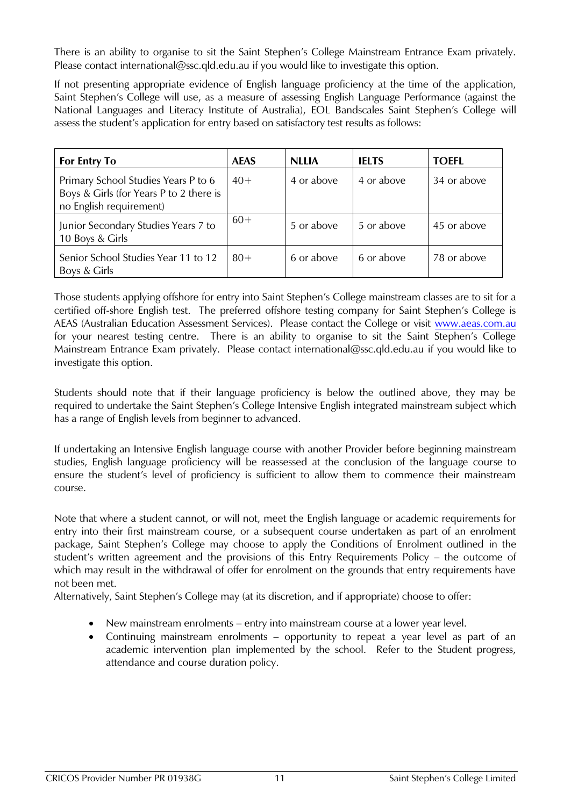There is an ability to organise to sit the Saint Stephen's College Mainstream Entrance Exam privately. Please contact international@ssc.qld.edu.au if you would like to investigate this option.

If not presenting appropriate evidence of English language proficiency at the time of the application, Saint Stephen's College will use, as a measure of assessing English Language Performance (against the National Languages and Literacy Institute of Australia), EOL Bandscales Saint Stephen's College will assess the student's application for entry based on satisfactory test results as follows:

| <b>For Entry To</b>                                                                                       | <b>AEAS</b> | <b>NLLIA</b> | <b>IELTS</b> | <b>TOEFL</b> |
|-----------------------------------------------------------------------------------------------------------|-------------|--------------|--------------|--------------|
| Primary School Studies Years P to 6<br>Boys & Girls (for Years P to 2 there is<br>no English requirement) | $40+$       | 4 or above   | 4 or above   | 34 or above  |
| Junior Secondary Studies Years 7 to<br>10 Boys & Girls                                                    | $60+$       | 5 or above   | 5 or above   | 45 or above  |
| Senior School Studies Year 11 to 12<br>Boys & Girls                                                       | $80+$       | 6 or above   | 6 or above   | 78 or above  |

Those students applying offshore for entry into Saint Stephen's College mainstream classes are to sit for a certified off-shore English test. The preferred offshore testing company for Saint Stephen's College is AEAS (Australian Education Assessment Services). Please contact the College or visit [www.aeas.com.au](http://www.aeas.com.au/) for your nearest testing centre. There is an ability to organise to sit the Saint Stephen's College Mainstream Entrance Exam privately. Please contact international@ssc.qld.edu.au if you would like to investigate this option.

Students should note that if their language proficiency is below the outlined above, they may be required to undertake the Saint Stephen's College Intensive English integrated mainstream subject which has a range of English levels from beginner to advanced.

If undertaking an Intensive English language course with another Provider before beginning mainstream studies, English language proficiency will be reassessed at the conclusion of the language course to ensure the student's level of proficiency is sufficient to allow them to commence their mainstream course.

Note that where a student cannot, or will not, meet the English language or academic requirements for entry into their first mainstream course, or a subsequent course undertaken as part of an enrolment package, Saint Stephen's College may choose to apply the Conditions of Enrolment outlined in the student's written agreement and the provisions of this Entry Requirements Policy – the outcome of which may result in the withdrawal of offer for enrolment on the grounds that entry requirements have not been met.

Alternatively, Saint Stephen's College may (at its discretion, and if appropriate) choose to offer:

- New mainstream enrolments entry into mainstream course at a lower year level.
- Continuing mainstream enrolments opportunity to repeat a year level as part of an academic intervention plan implemented by the school. Refer to the Student progress, attendance and course duration policy.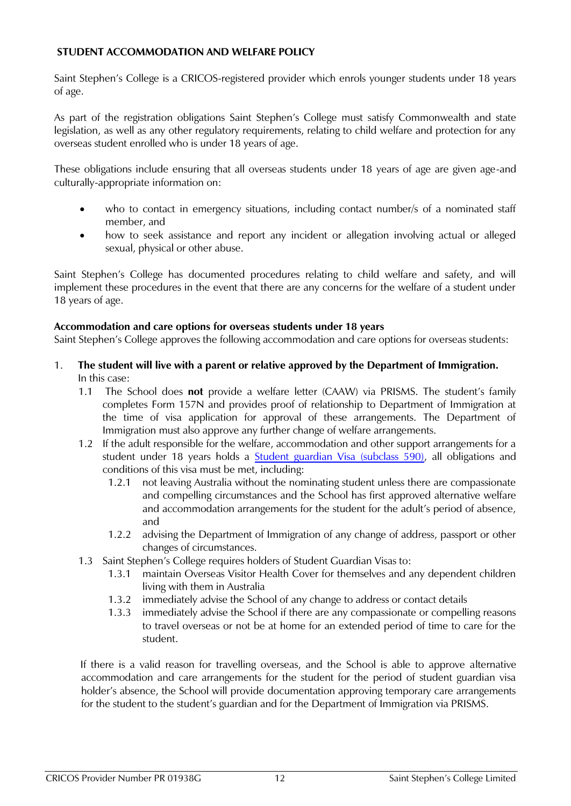## <span id="page-10-0"></span>**STUDENT ACCOMMODATION AND WELFARE POLICY**

Saint Stephen's College is a CRICOS-registered provider which enrols younger students under 18 years of age.

As part of the registration obligations Saint Stephen's College must satisfy Commonwealth and state legislation, as well as any other regulatory requirements, relating to child welfare and protection for any overseas student enrolled who is under 18 years of age.

These obligations include ensuring that all overseas students under 18 years of age are given age-and culturally-appropriate information on:

- who to contact in emergency situations, including contact number/s of a nominated staff member, and
- how to seek assistance and report any incident or allegation involving actual or alleged sexual, physical or other abuse.

Saint Stephen's College has documented procedures relating to child welfare and safety, and will implement these procedures in the event that there are any concerns for the welfare of a student under 18 years of age.

#### **Accommodation and care options for overseas students under 18 years**

Saint Stephen's College approves the following accommodation and care options for overseas students:

- 1. **The student will live with a parent or relative approved by the Department of Immigration.** In this case:
	- 1.1 The School does **not** provide a welfare letter (CAAW) via PRISMS. The student's family completes Form 157N and provides proof of relationship to Department of Immigration at the time of visa application for approval of these arrangements. The Department of Immigration must also approve any further change of welfare arrangements.
	- 1.2 If the adult responsible for the welfare, accommodation and other support arrangements for a student under 18 years holds a [Student guardian Visa \(subclass 590\),](https://immi.homeaffairs.gov.au/visas/getting-a-visa/visa-listing/student-590) all obligations and conditions of this visa must be met, including:
		- 1.2.1 not leaving Australia without the nominating student unless there are compassionate and compelling circumstances and the School has first approved alternative welfare and accommodation arrangements for the student for the adult's period of absence, and
		- 1.2.2 advising the Department of Immigration of any change of address, passport or other changes of circumstances.
	- 1.3 Saint Stephen's College requires holders of Student Guardian Visas to:
		- 1.3.1 maintain Overseas Visitor Health Cover for themselves and any dependent children living with them in Australia
		- 1.3.2 immediately advise the School of any change to address or contact details
		- 1.3.3 immediately advise the School if there are any compassionate or compelling reasons to travel overseas or not be at home for an extended period of time to care for the student.

If there is a valid reason for travelling overseas, and the School is able to approve alternative accommodation and care arrangements for the student for the period of student guardian visa holder's absence, the School will provide documentation approving temporary care arrangements for the student to the student's guardian and for the Department of Immigration via PRISMS.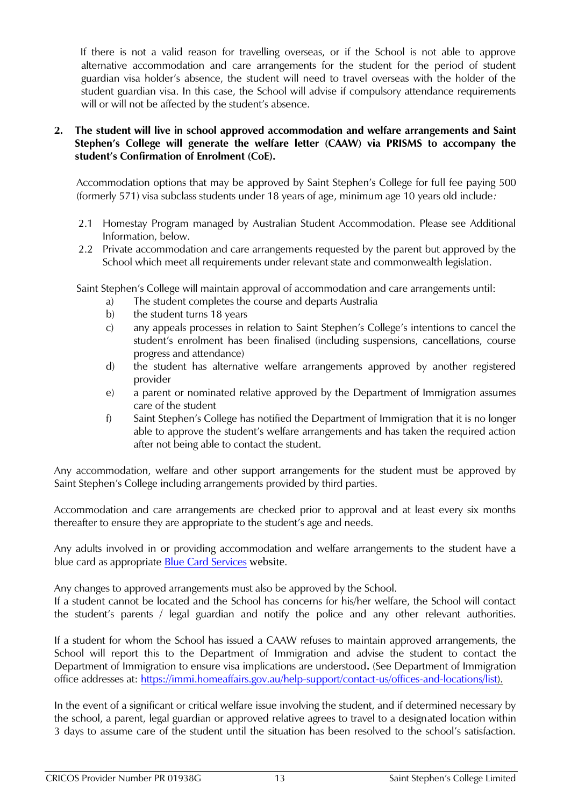If there is not a valid reason for travelling overseas, or if the School is not able to approve alternative accommodation and care arrangements for the student for the period of student guardian visa holder's absence, the student will need to travel overseas with the holder of the student guardian visa. In this case, the School will advise if compulsory attendance requirements will or will not be affected by the student's absence.

#### **2. The student will live in school approved accommodation and welfare arrangements and Saint Stephen's College will generate the welfare letter (CAAW) via PRISMS to accompany the student's Confirmation of Enrolment (CoE).**

Accommodation options that may be approved by Saint Stephen's College for full fee paying 500 (formerly 571) visa subclass students under 18 years of age, minimum age 10 years old include*:*

- 2.1 Homestay Program managed by Australian Student Accommodation. Please see Additional Information, below.
- 2.2 Private accommodation and care arrangements requested by the parent but approved by the School which meet all requirements under relevant state and commonwealth legislation.

Saint Stephen's College will maintain approval of accommodation and care arrangements until:

- a) The student completes the course and departs Australia
- b) the student turns 18 years
- c) any appeals processes in relation to Saint Stephen's College's intentions to cancel the student's enrolment has been finalised (including suspensions, cancellations, course progress and attendance)
- d) the student has alternative welfare arrangements approved by another registered provider
- e) a parent or nominated relative approved by the Department of Immigration assumes care of the student
- f) Saint Stephen's College has notified the Department of Immigration that it is no longer able to approve the student's welfare arrangements and has taken the required action after not being able to contact the student.

Any accommodation, welfare and other support arrangements for the student must be approved by Saint Stephen's College including arrangements provided by third parties.

Accommodation and care arrangements are checked prior to approval and at least every six months thereafter to ensure they are appropriate to the student's age and needs.

Any adults involved in or providing accommodation and welfare arrangements to the student have a blue card as appropriate [Blue Card Services](https://www.qld.gov.au/law/laws-regulated-industries-and-accountability/queensland-laws-and-regulations/regulated-industries-and-licensing/blue-card-services) website.

Any changes to approved arrangements must also be approved by the School.

If a student cannot be located and the School has concerns for his/her welfare, the School will contact the student's parents / legal guardian and notify the police and any other relevant authorities.

If a student for whom the School has issued a CAAW refuses to maintain approved arrangements, the School will report this to the Department of Immigration and advise the student to contact the Department of Immigration to ensure visa implications are understood**.** (See Department of Immigration office addresses at: [https://immi.homeaffairs.gov.au/help-support/contact-us/offices-and-locations/list\)](https://immi.homeaffairs.gov.au/help-support/contact-us/offices-and-locations/list).

In the event of a significant or critical welfare issue involving the student, and if determined necessary by the school, a parent, legal guardian or approved relative agrees to travel to a designated location within 3 days to assume care of the student until the situation has been resolved to the school's satisfaction.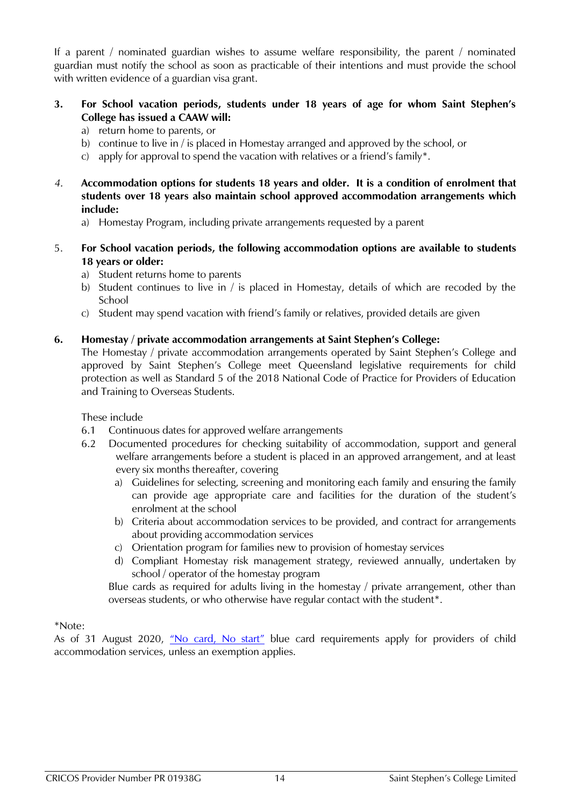If a parent / nominated guardian wishes to assume welfare responsibility, the parent / nominated guardian must notify the school as soon as practicable of their intentions and must provide the school with written evidence of a guardian visa grant.

## **3. For School vacation periods, students under 18 years of age for whom Saint Stephen's College has issued a CAAW will:**

- a) return home to parents, or
- b) continue to live in / is placed in Homestay arranged and approved by the school, or
- c) apply for approval to spend the vacation with relatives or a friend's family\*.
- *4.* **Accommodation options for students 18 years and older. It is a condition of enrolment that students over 18 years also maintain school approved accommodation arrangements which include:** 
	- a) Homestay Program, including private arrangements requested by a parent
- 5. **For School vacation periods, the following accommodation options are available to students 18 years or older:**
	- a) Student returns home to parents
	- b) Student continues to live in / is placed in Homestay, details of which are recoded by the **School**
	- c) Student may spend vacation with friend's family or relatives, provided details are given

#### **6. Homestay / private accommodation arrangements at Saint Stephen's College:**

The Homestay / private accommodation arrangements operated by Saint Stephen's College and approved by Saint Stephen's College meet Queensland legislative requirements for child protection as well as Standard 5 of the 2018 National Code of Practice for Providers of Education and Training to Overseas Students.

These include

- 6.1 Continuous dates for approved welfare arrangements
- 6.2 Documented procedures for checking suitability of accommodation, support and general welfare arrangements before a student is placed in an approved arrangement, and at least every six months thereafter, covering
	- a) Guidelines for selecting, screening and monitoring each family and ensuring the family can provide age appropriate care and facilities for the duration of the student's enrolment at the school
	- b) Criteria about accommodation services to be provided, and contract for arrangements about providing accommodation services
	- c) Orientation program for families new to provision of homestay services
	- d) Compliant Homestay risk management strategy, reviewed annually, undertaken by school / operator of the homestay program

Blue cards as required for adults living in the homestay / private arrangement, other than overseas students, or who otherwise have regular contact with the student\*.

\*Note:

As of 31 August 2020, ["No card, No start"](https://www.qld.gov.au/law/laws-regulated-industries-and-accountability/queensland-laws-and-regulations/regulated-industries-and-licensing/blue-card-system-changes) blue card requirements apply for providers of child accommodation services, unless an exemption applies.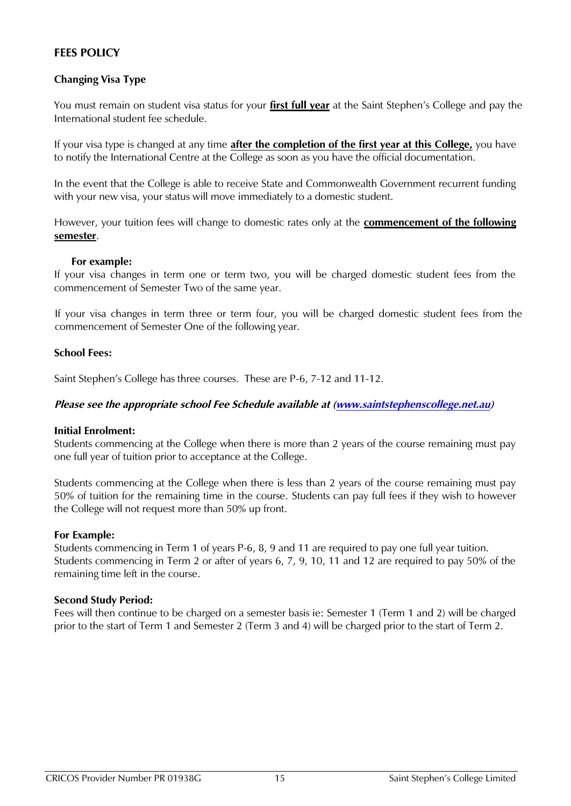## <span id="page-13-0"></span>**FEES POLICY**

## <span id="page-13-1"></span>**Changing Visa Type**

You must remain on student visa status for your **first full year** at the Saint Stephen's College and pay the International student fee schedule.

If your visa type is changed at any time **after the completion of the first year at this College,** you have to notify the International Centre at the College as soon as you have the official documentation.

In the event that the College is able to receive State and Commonwealth Government recurrent funding with your new visa, your status will move immediately to a domestic student.

However, your tuition fees will change to domestic rates only at the **commencement of the following semester**.

#### **For example:**

If your visa changes in term one or term two, you will be charged domestic student fees from the commencement of Semester Two of the same year.

If your visa changes in term three or term four, you will be charged domestic student fees from the commencement of Semester One of the following year.

#### <span id="page-13-2"></span>**School Fees:**

Saint Stephen's College has three courses. These are P-6, 7-12 and 11-12.

#### *Please see the appropriate school Fee Schedule available at [\(www.saintstephenscollege.net.au\)](http://www.saintstephenscollege.net.au/)*

#### **Initial Enrolment:**

Students commencing at the College when there is more than 2 years of the course remaining must pay one full year of tuition prior to acceptance at the College.

Students commencing at the College when there is less than 2 years of the course remaining must pay 50% of tuition for the remaining time in the course. Students can pay full fees if they wish to however the College will not request more than 50% up front.

#### **For Example:**

Students commencing in Term 1 of years P-6, 8, 9 and 11 are required to pay one full year tuition. Students commencing in Term 2 or after of years 6, 7, 9, 10, 11 and 12 are required to pay 50% of the remaining time left in the course.

#### **Second Study Period:**

Fees will then continue to be charged on a semester basis ie: Semester 1 (Term 1 and 2) will be charged prior to the start of Term 1 and Semester 2 (Term 3 and 4) will be charged prior to the start of Term 2.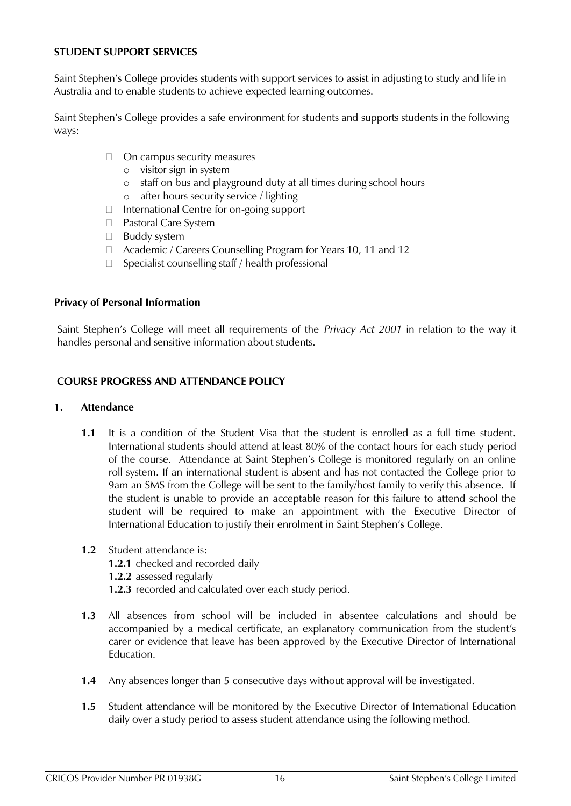#### <span id="page-14-0"></span>**STUDENT SUPPORT SERVICES**

Saint Stephen's College provides students with support services to assist in adjusting to study and life in Australia and to enable students to achieve expected learning outcomes.

Saint Stephen's College provides a safe environment for students and supports students in the following ways:

- □ On campus security measures
	- o visitor sign in system
	- o staff on bus and playground duty at all times during school hours
	- o after hours security service / lighting
- □ International Centre for on-going support
- □ Pastoral Care System
- **Buddy system**
- □ Academic / Careers Counselling Program for Years 10, 11 and 12
- $\Box$  Specialist counselling staff / health professional

#### <span id="page-14-1"></span>**Privacy of Personal Information**

Saint Stephen's College will meet all requirements of the *Privacy Act 2001* in relation to the way it handles personal and sensitive information about students.

#### <span id="page-14-2"></span>**COURSE PROGRESS AND ATTENDANCE POLICY**

#### <span id="page-14-3"></span>**1. Attendance**

- **1.1** It is a condition of the Student Visa that the student is enrolled as a full time student. International students should attend at least 80% of the contact hours for each study period of the course. Attendance at Saint Stephen's College is monitored regularly on an online roll system. If an international student is absent and has not contacted the College prior to 9am an SMS from the College will be sent to the family/host family to verify this absence. If the student is unable to provide an acceptable reason for this failure to attend school the student will be required to make an appointment with the Executive Director of International Education to justify their enrolment in Saint Stephen's College.
- **1.2** Student attendance is:
	- **1.2.1** checked and recorded daily
	- **1.2.2** assessed regularly
	- **1.2.3** recorded and calculated over each study period.
- **1.3** All absences from school will be included in absentee calculations and should be accompanied by a medical certificate, an explanatory communication from the student's carer or evidence that leave has been approved by the Executive Director of International Education.
- **1.4** Any absences longer than 5 consecutive days without approval will be investigated.
- **1.5** Student attendance will be monitored by the Executive Director of International Education daily over a study period to assess student attendance using the following method.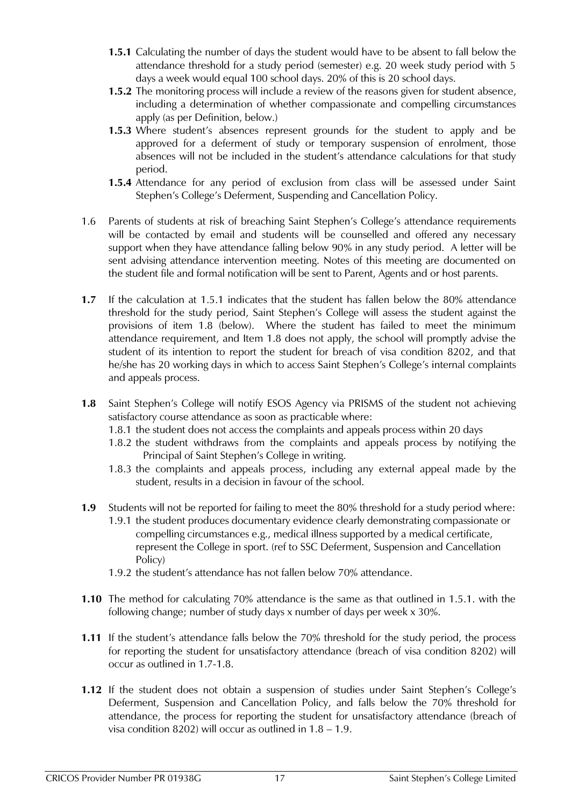- **1.5.1** Calculating the number of days the student would have to be absent to fall below the attendance threshold for a study period (semester) e.g. 20 week study period with 5 days a week would equal 100 school days. 20% of this is 20 school days.
- **1.5.2** The monitoring process will include a review of the reasons given for student absence, including a determination of whether compassionate and compelling circumstances apply (as per Definition, below.)
- **1.5.3** Where student's absences represent grounds for the student to apply and be approved for a deferment of study or temporary suspension of enrolment, those absences will not be included in the student's attendance calculations for that study period.
- **1.5.4** Attendance for any period of exclusion from class will be assessed under Saint Stephen's College's Deferment, Suspending and Cancellation Policy.
- 1.6 Parents of students at risk of breaching Saint Stephen's College's attendance requirements will be contacted by email and students will be counselled and offered any necessary support when they have attendance falling below 90% in any study period. A letter will be sent advising attendance intervention meeting. Notes of this meeting are documented on the student file and formal notification will be sent to Parent, Agents and or host parents.
- **1.7** If the calculation at 1.5.1 indicates that the student has fallen below the 80% attendance threshold for the study period, Saint Stephen's College will assess the student against the provisions of item 1.8 (below). Where the student has failed to meet the minimum attendance requirement, and Item 1.8 does not apply, the school will promptly advise the student of its intention to report the student for breach of visa condition 8202, and that he/she has 20 working days in which to access Saint Stephen's College's internal complaints and appeals process.
- **1.8** Saint Stephen's College will notify ESOS Agency via PRISMS of the student not achieving satisfactory course attendance as soon as practicable where:
	- 1.8.1 the student does not access the complaints and appeals process within 20 days
	- 1.8.2 the student withdraws from the complaints and appeals process by notifying the Principal of Saint Stephen's College in writing.
	- 1.8.3 the complaints and appeals process, including any external appeal made by the student, results in a decision in favour of the school.
- **1.9** Students will not be reported for failing to meet the 80% threshold for a study period where: 1.9.1 the student produces documentary evidence clearly demonstrating compassionate or
	- compelling circumstances e.g., medical illness supported by a medical certificate, represent the College in sport. (ref to SSC Deferment, Suspension and Cancellation Policy)
	- 1.9.2 the student's attendance has not fallen below 70% attendance.
- **1.10** The method for calculating 70% attendance is the same as that outlined in 1.5.1. with the following change; number of study days x number of days per week x 30%.
- **1.11** If the student's attendance falls below the 70% threshold for the study period, the process for reporting the student for unsatisfactory attendance (breach of visa condition 8202) will occur as outlined in 1.7-1.8.
- **1.12** If the student does not obtain a suspension of studies under Saint Stephen's College's Deferment, Suspension and Cancellation Policy, and falls below the 70% threshold for attendance, the process for reporting the student for unsatisfactory attendance (breach of visa condition 8202) will occur as outlined in 1.8 – 1.9.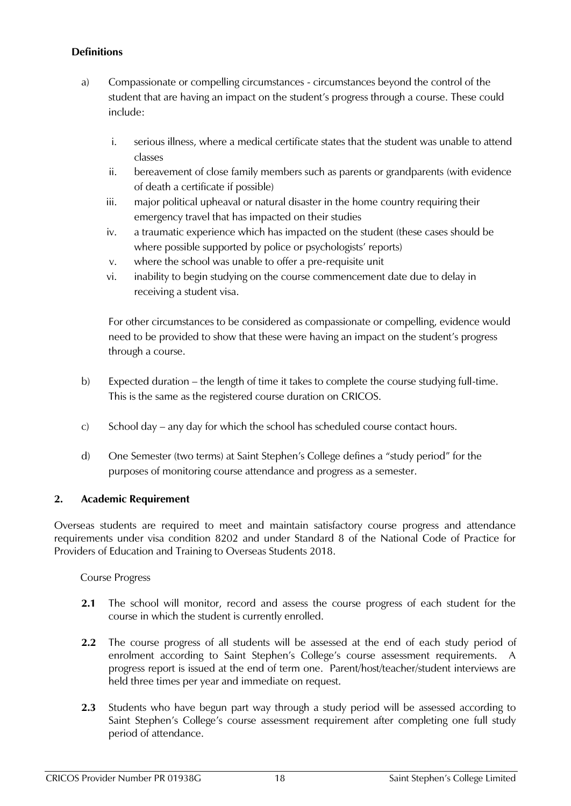## **Definitions**

- a) Compassionate or compelling circumstances circumstances beyond the control of the student that are having an impact on the student's progress through a course. These could include:
	- i. serious illness, where a medical certificate states that the student was unable to attend classes
	- ii. bereavement of close family members such as parents or grandparents (with evidence of death a certificate if possible)
	- iii. major political upheaval or natural disaster in the home country requiring their emergency travel that has impacted on their studies
	- iv. a traumatic experience which has impacted on the student (these cases should be where possible supported by police or psychologists' reports)
	- v. where the school was unable to offer a pre-requisite unit
	- vi. inability to begin studying on the course commencement date due to delay in receiving a student visa.

For other circumstances to be considered as compassionate or compelling, evidence would need to be provided to show that these were having an impact on the student's progress through a course.

- b) Expected duration the length of time it takes to complete the course studying full-time. This is the same as the registered course duration on CRICOS.
- c) School day any day for which the school has scheduled course contact hours.
- d) One Semester (two terms) at Saint Stephen's College defines a "study period" for the purposes of monitoring course attendance and progress as a semester.

## <span id="page-16-0"></span>**2. Academic Requirement**

Overseas students are required to meet and maintain satisfactory course progress and attendance requirements under visa condition 8202 and under Standard 8 of the National Code of Practice for Providers of Education and Training to Overseas Students 2018.

Course Progress

- **2.1** The school will monitor, record and assess the course progress of each student for the course in which the student is currently enrolled.
- **2.2** The course progress of all students will be assessed at the end of each study period of enrolment according to Saint Stephen's College's course assessment requirements. progress report is issued at the end of term one. Parent/host/teacher/student interviews are held three times per year and immediate on request.
- **2.3** Students who have begun part way through a study period will be assessed according to Saint Stephen's College's course assessment requirement after completing one full study period of attendance.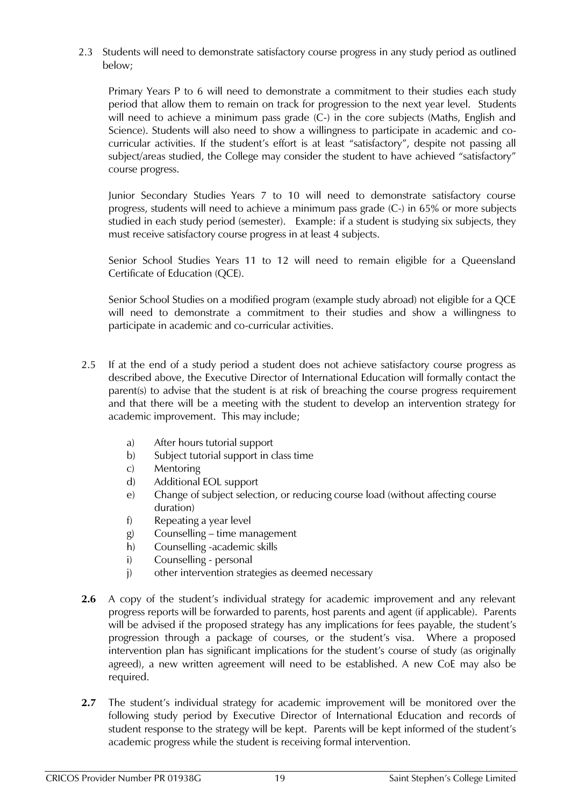2.3 Students will need to demonstrate satisfactory course progress in any study period as outlined below;

Primary Years P to 6 will need to demonstrate a commitment to their studies each study period that allow them to remain on track for progression to the next year level. Students will need to achieve a minimum pass grade (C-) in the core subjects (Maths, English and Science). Students will also need to show a willingness to participate in academic and cocurricular activities. If the student's effort is at least "satisfactory", despite not passing all subject/areas studied, the College may consider the student to have achieved "satisfactory" course progress.

Junior Secondary Studies Years 7 to 10 will need to demonstrate satisfactory course progress, students will need to achieve a minimum pass grade (C-) in 65% or more subjects studied in each study period (semester). Example: if a student is studying six subjects, they must receive satisfactory course progress in at least 4 subjects.

Senior School Studies Years 11 to 12 will need to remain eligible for a Queensland Certificate of Education (QCE).

Senior School Studies on a modified program (example study abroad) not eligible for a QCE will need to demonstrate a commitment to their studies and show a willingness to participate in academic and co-curricular activities.

- 2.5 If at the end of a study period a student does not achieve satisfactory course progress as described above, the Executive Director of International Education will formally contact the parent(s) to advise that the student is at risk of breaching the course progress requirement and that there will be a meeting with the student to develop an intervention strategy for academic improvement. This may include;
	- a) After hours tutorial support
	- b) Subject tutorial support in class time
	- c) Mentoring
	- d) Additional EOL support
	- e) Change of subject selection, or reducing course load (without affecting course duration)
	- f) Repeating a year level
	- g) Counselling time management
	- h) Counselling -academic skills
	- i) Counselling personal
	- j) other intervention strategies as deemed necessary
- **2.6** A copy of the student's individual strategy for academic improvement and any relevant progress reports will be forwarded to parents, host parents and agent (if applicable). Parents will be advised if the proposed strategy has any implications for fees payable, the student's progression through a package of courses, or the student's visa. Where a proposed intervention plan has significant implications for the student's course of study (as originally agreed), a new written agreement will need to be established. A new CoE may also be required.
- **2.7** The student's individual strategy for academic improvement will be monitored over the following study period by Executive Director of International Education and records of student response to the strategy will be kept. Parents will be kept informed of the student's academic progress while the student is receiving formal intervention.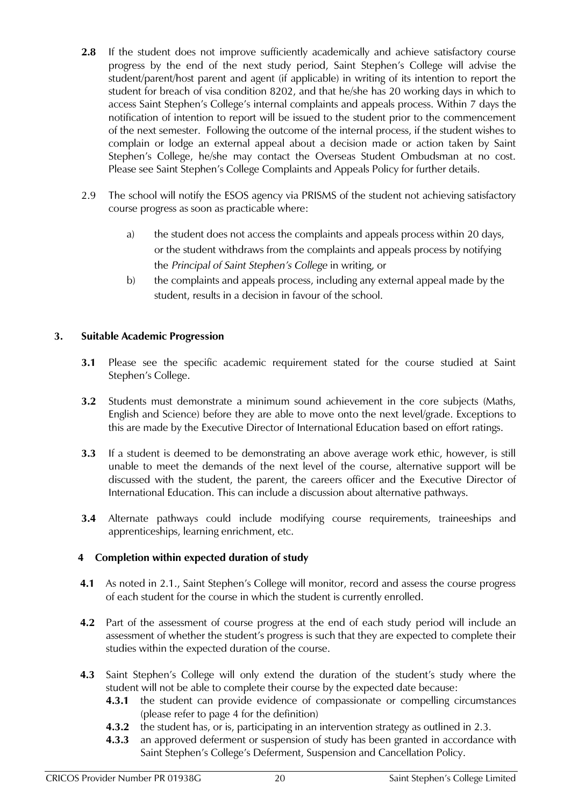- 2.8 If the student does not improve sufficiently academically and achieve satisfactory course progress by the end of the next study period, Saint Stephen's College will advise the student/parent/host parent and agent (if applicable) in writing of its intention to report the student for breach of visa condition 8202, and that he/she has 20 working days in which to access Saint Stephen's College's internal complaints and appeals process. Within 7 days the notification of intention to report will be issued to the student prior to the commencement of the next semester. Following the outcome of the internal process, if the student wishes to complain or lodge an external appeal about a decision made or action taken by Saint Stephen's College, he/she may contact the Overseas Student Ombudsman at no cost. Please see Saint Stephen's College Complaints and Appeals Policy for further details.
- 2.9 The school will notify the ESOS agency via PRISMS of the student not achieving satisfactory course progress as soon as practicable where:
	- a) the student does not access the complaints and appeals process within 20 days, or the student withdraws from the complaints and appeals process by notifying the *Principal of Saint Stephen's College* in writing, or
	- b) the complaints and appeals process, including any external appeal made by the student, results in a decision in favour of the school.

## <span id="page-18-0"></span>**3. Suitable Academic Progression**

- **3.1** Please see the specific academic requirement stated for the course studied at Saint Stephen's College.
- **3.2** Students must demonstrate a minimum sound achievement in the core subjects (Maths, English and Science) before they are able to move onto the next level/grade. Exceptions to this are made by the Executive Director of International Education based on effort ratings.
- **3.3** If a student is deemed to be demonstrating an above average work ethic, however, is still unable to meet the demands of the next level of the course, alternative support will be discussed with the student, the parent, the careers officer and the Executive Director of International Education. This can include a discussion about alternative pathways.
- **3.4** Alternate pathways could include modifying course requirements, traineeships and apprenticeships, learning enrichment, etc.

## <span id="page-18-1"></span>**4 Completion within expected duration of study**

- **4.1** As noted in 2.1., Saint Stephen's College will monitor, record and assess the course progress of each student for the course in which the student is currently enrolled.
- **4.2** Part of the assessment of course progress at the end of each study period will include an assessment of whether the student's progress is such that they are expected to complete their studies within the expected duration of the course.
- **4.3** Saint Stephen's College will only extend the duration of the student's study where the student will not be able to complete their course by the expected date because:
	- **4.3.1** the student can provide evidence of compassionate or compelling circumstances (please refer to page 4 for the definition)
	- **4.3.2** the student has, or is, participating in an intervention strategy as outlined in 2.3.
	- **4.3.3** an approved deferment or suspension of study has been granted in accordance with Saint Stephen's College's Deferment, Suspension and Cancellation Policy.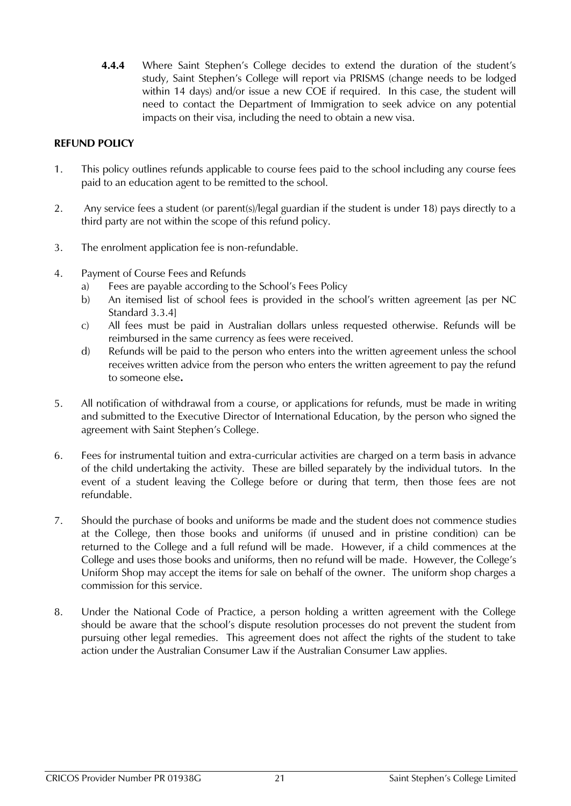**4.4.4** Where Saint Stephen's College decides to extend the duration of the student's study, Saint Stephen's College will report via PRISMS (change needs to be lodged within 14 days) and/or issue a new COE if required. In this case, the student will need to contact the Department of Immigration to seek advice on any potential impacts on their visa, including the need to obtain a new visa.

#### <span id="page-19-0"></span>**REFUND POLICY**

- 1. This policy outlines refunds applicable to course fees paid to the school including any course fees paid to an education agent to be remitted to the school.
- 2. Any service fees a student (or parent(s)/legal guardian if the student is under 18) pays directly to a third party are not within the scope of this refund policy.
- 3. The enrolment application fee is non-refundable.
- 4. Payment of Course Fees and Refunds
	- a) Fees are payable according to the School's Fees Policy
	- b) An itemised list of school fees is provided in the school's written agreement [as per NC Standard 3.3.4]
	- c) All fees must be paid in Australian dollars unless requested otherwise. Refunds will be reimbursed in the same currency as fees were received.
	- d) Refunds will be paid to the person who enters into the written agreement unless the school receives written advice from the person who enters the written agreement to pay the refund to someone else**.**
- 5. All notification of withdrawal from a course, or applications for refunds, must be made in writing and submitted to the Executive Director of International Education, by the person who signed the agreement with Saint Stephen's College.
- 6. Fees for instrumental tuition and extra-curricular activities are charged on a term basis in advance of the child undertaking the activity. These are billed separately by the individual tutors. In the event of a student leaving the College before or during that term, then those fees are not refundable.
- 7. Should the purchase of books and uniforms be made and the student does not commence studies at the College, then those books and uniforms (if unused and in pristine condition) can be returned to the College and a full refund will be made. However, if a child commences at the College and uses those books and uniforms, then no refund will be made. However, the College's Uniform Shop may accept the items for sale on behalf of the owner. The uniform shop charges a commission for this service.
- 8. Under the National Code of Practice, a person holding a written agreement with the College should be aware that the school's dispute resolution processes do not prevent the student from pursuing other legal remedies. This agreement does not affect the rights of the student to take action under the Australian Consumer Law if the Australian Consumer Law applies.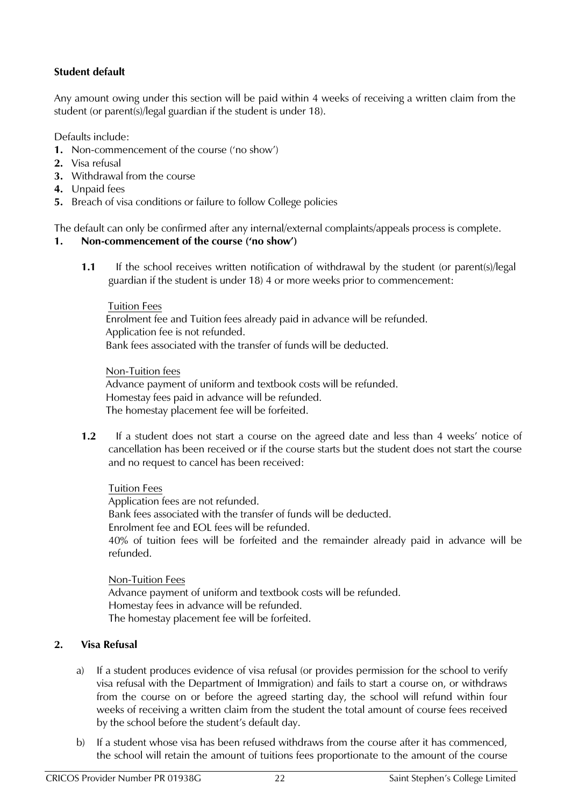## <span id="page-20-0"></span>**Student default**

Any amount owing under this section will be paid within 4 weeks of receiving a written claim from the student (or parent(s)/legal guardian if the student is under 18).

Defaults include:

- **1.** Non-commencement of the course ('no show')
- **2.** Visa refusal
- **3.** Withdrawal from the course
- **4.** Unpaid fees
- **5.** Breach of visa conditions or failure to follow College policies

The default can only be confirmed after any internal/external complaints/appeals process is complete.

## <span id="page-20-1"></span>**1. Non-commencement of the course ('no show')**

**1.1** If the school receives written notification of withdrawal by the student (or parent(s)/legal guardian if the student is under 18) 4 or more weeks prior to commencement:

## Tuition Fees Enrolment fee and Tuition fees already paid in advance will be refunded. Application fee is not refunded. Bank fees associated with the transfer of funds will be deducted.

#### Non-Tuition fees

Advance payment of uniform and textbook costs will be refunded. Homestay fees paid in advance will be refunded. The homestay placement fee will be forfeited.

**1.2** If a student does not start a course on the agreed date and less than 4 weeks' notice of cancellation has been received or if the course starts but the student does not start the course and no request to cancel has been received:

## Tuition Fees

Application fees are not refunded. Bank fees associated with the transfer of funds will be deducted. Enrolment fee and EOL fees will be refunded. 40% of tuition fees will be forfeited and the remainder already paid in advance will be refunded.

Non-Tuition Fees Advance payment of uniform and textbook costs will be refunded. Homestay fees in advance will be refunded. The homestay placement fee will be forfeited.

## <span id="page-20-2"></span>**2. Visa Refusal**

- a) If a student produces evidence of visa refusal (or provides permission for the school to verify visa refusal with the Department of Immigration) and fails to start a course on, or withdraws from the course on or before the agreed starting day, the school will refund within four weeks of receiving a written claim from the student the total amount of course fees received by the school before the student's default day.
- b) If a student whose visa has been refused withdraws from the course after it has commenced, the school will retain the amount of tuitions fees proportionate to the amount of the course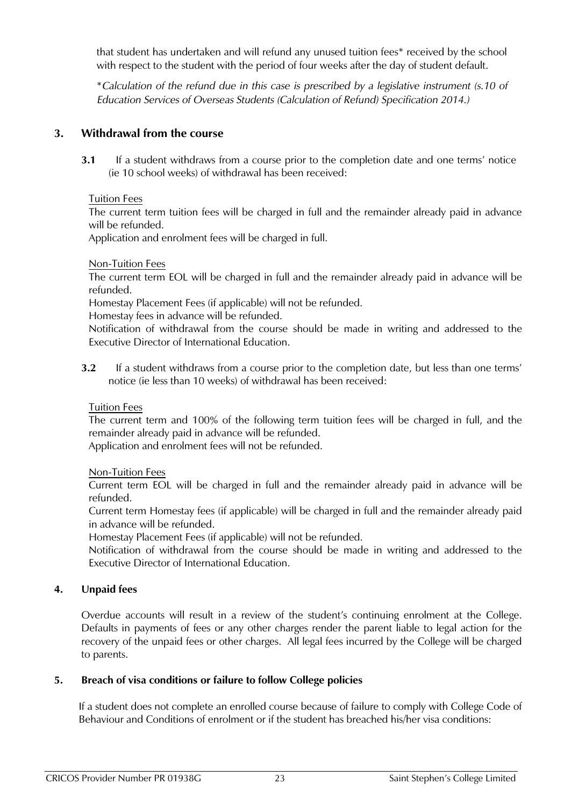that student has undertaken and will refund any unused tuition fees\* received by the school with respect to the student with the period of four weeks after the day of student default.

\**Calculation of the refund due in this case is prescribed by a legislative instrument (s.10 of Education Services of Overseas Students (Calculation of Refund) Specification 2014.)*

## <span id="page-21-0"></span>**3. Withdrawal from the course**

**3.1** If a student withdraws from a course prior to the completion date and one terms' notice (ie 10 school weeks) of withdrawal has been received:

Tuition Fees

The current term tuition fees will be charged in full and the remainder already paid in advance will be refunded.

Application and enrolment fees will be charged in full.

Non-Tuition Fees

The current term EOL will be charged in full and the remainder already paid in advance will be refunded.

Homestay Placement Fees (if applicable) will not be refunded.

Homestay fees in advance will be refunded.

Notification of withdrawal from the course should be made in writing and addressed to the Executive Director of International Education.

**3.2** If a student withdraws from a course prior to the completion date, but less than one terms' notice (ie less than 10 weeks) of withdrawal has been received:

Tuition Fees

The current term and 100% of the following term tuition fees will be charged in full, and the remainder already paid in advance will be refunded.

Application and enrolment fees will not be refunded.

## Non-Tuition Fees

Current term EOL will be charged in full and the remainder already paid in advance will be refunded.

Current term Homestay fees (if applicable) will be charged in full and the remainder already paid in advance will be refunded.

Homestay Placement Fees (if applicable) will not be refunded.

Notification of withdrawal from the course should be made in writing and addressed to the Executive Director of International Education.

## <span id="page-21-1"></span>**4. Unpaid fees**

Overdue accounts will result in a review of the student's continuing enrolment at the College. Defaults in payments of fees or any other charges render the parent liable to legal action for the recovery of the unpaid fees or other charges. All legal fees incurred by the College will be charged to parents.

## <span id="page-21-2"></span>**5. Breach of visa conditions or failure to follow College policies**

If a student does not complete an enrolled course because of failure to comply with College Code of Behaviour and Conditions of enrolment or if the student has breached his/her visa conditions: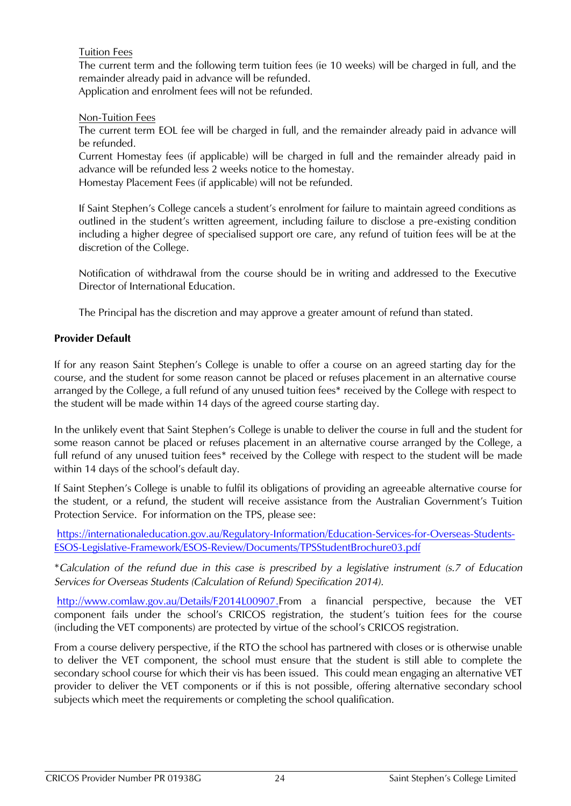## Tuition Fees

The current term and the following term tuition fees (ie 10 weeks) will be charged in full, and the remainder already paid in advance will be refunded. Application and enrolment fees will not be refunded.

#### Non-Tuition Fees

The current term EOL fee will be charged in full, and the remainder already paid in advance will be refunded.

Current Homestay fees (if applicable) will be charged in full and the remainder already paid in advance will be refunded less 2 weeks notice to the homestay.

Homestay Placement Fees (if applicable) will not be refunded.

If Saint Stephen's College cancels a student's enrolment for failure to maintain agreed conditions as outlined in the student's written agreement, including failure to disclose a pre-existing condition including a higher degree of specialised support ore care, any refund of tuition fees will be at the discretion of the College.

Notification of withdrawal from the course should be in writing and addressed to the Executive Director of International Education.

The Principal has the discretion and may approve a greater amount of refund than stated.

## <span id="page-22-0"></span>**Provider Default**

If for any reason Saint Stephen's College is unable to offer a course on an agreed starting day for the course, and the student for some reason cannot be placed or refuses placement in an alternative course arranged by the College, a full refund of any unused tuition fees\* received by the College with respect to the student will be made within 14 days of the agreed course starting day.

In the unlikely event that Saint Stephen's College is unable to deliver the course in full and the student for some reason cannot be placed or refuses placement in an alternative course arranged by the College, a full refund of any unused tuition fees\* received by the College with respect to the student will be made within 14 days of the school's default day.

If Saint Stephen's College is unable to fulfil its obligations of providing an agreeable alternative course for the student, or a refund, the student will receive assistance from the Australian Government's Tuition Protection Service. For information on the TPS, please see:

[https://internationaleducation.gov.au/Regulatory-Information/Education-Services-for-Overseas-Students-](https://internationaleducation.gov.au/Regulatory-Information/Education-Services-for-Overseas-Students-ESOS-Legislative-Framework/ESOS-Review/Documents/TPSStudentBrochure03.pdf)[ESOS-Legislative-Framework/ESOS-Review/Documents/TPSStudentBrochure03.pdf](https://internationaleducation.gov.au/Regulatory-Information/Education-Services-for-Overseas-Students-ESOS-Legislative-Framework/ESOS-Review/Documents/TPSStudentBrochure03.pdf)

\**Calculation of the refund due in this case is prescribed by a legislative instrument (s.7 of Education Services for Overseas Students (Calculation of Refund) Specification 2014).*

[http://www.comlaw.gov.au/Details/F2014L00907.](http://www.comlaw.gov.au/Details/F2014L00907)From a financial perspective, because the VET component fails under the school's CRICOS registration, the student's tuition fees for the course (including the VET components) are protected by virtue of the school's CRICOS registration.

From a course delivery perspective, if the RTO the school has partnered with closes or is otherwise unable to deliver the VET component, the school must ensure that the student is still able to complete the secondary school course for which their vis has been issued. This could mean engaging an alternative VET provider to deliver the VET components or if this is not possible, offering alternative secondary school subjects which meet the requirements or completing the school qualification.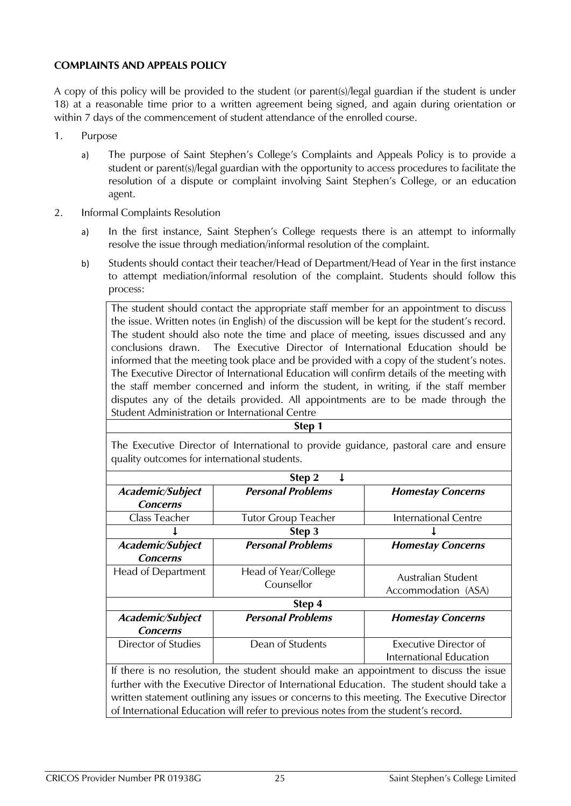## <span id="page-23-0"></span>**COMPLAINTS AND APPEALS POLICY**

A copy of this policy will be provided to the student (or parent(s)/legal guardian if the student is under 18) at a reasonable time prior to a written agreement being signed, and again during orientation or within 7 days of the commencement of student attendance of the enrolled course.

- 1. Purpose
	- a) The purpose of Saint Stephen's College's Complaints and Appeals Policy is to provide a student or parent(s)/legal guardian with the opportunity to access procedures to facilitate the resolution of a dispute or complaint involving Saint Stephen's College, or an education agent.
- 2. Informal Complaints Resolution
	- a) In the first instance, Saint Stephen's College requests there is an attempt to informally resolve the issue through mediation/informal resolution of the complaint.
	- b) Students should contact their teacher/Head of Department/Head of Year in the first instance to attempt mediation/informal resolution of the complaint. Students should follow this process:

The student should contact the appropriate staff member for an appointment to discuss the issue. Written notes (in English) of the discussion will be kept for the student's record. The student should also note the time and place of meeting, issues discussed and any conclusions drawn. The Executive Director of International Education should be informed that the meeting took place and be provided with a copy of the student's notes. The Executive Director of International Education will confirm details of the meeting with the staff member concerned and inform the student, in writing, if the staff member disputes any of the details provided. All appointments are to be made through the Student Administration or International Centre

#### **Step 1**

The Executive Director of International to provide guidance, pastoral care and ensure quality outcomes for international students.

| Step 2                                                                                     |                                                                                           |                             |  |
|--------------------------------------------------------------------------------------------|-------------------------------------------------------------------------------------------|-----------------------------|--|
| Academic/Subject                                                                           | <b>Personal Problems</b>                                                                  | <b>Homestay Concerns</b>    |  |
| <b>Concerns</b>                                                                            |                                                                                           |                             |  |
| Class Teacher                                                                              | <b>Tutor Group Teacher</b>                                                                | <b>International Centre</b> |  |
|                                                                                            | Step 3                                                                                    |                             |  |
| Academic/Subject                                                                           | <b>Personal Problems</b>                                                                  | <b>Homestay Concerns</b>    |  |
| <b>Concerns</b>                                                                            |                                                                                           |                             |  |
| Head of Department                                                                         | Head of Year/College<br>Counsellor                                                        | Australian Student          |  |
|                                                                                            |                                                                                           | Accommodation (ASA)         |  |
| Step 4                                                                                     |                                                                                           |                             |  |
| Academic/Subject                                                                           | <b>Personal Problems</b>                                                                  | <b>Homestay Concerns</b>    |  |
| <b>Concerns</b>                                                                            |                                                                                           |                             |  |
| Director of Studies                                                                        | Dean of Students                                                                          | Executive Director of       |  |
|                                                                                            |                                                                                           | International Education     |  |
| If there is no resolution, the student should make an appointment to discuss the issue     |                                                                                           |                             |  |
|                                                                                            | further with the Executive Director of International Education. The student should take a |                             |  |
| written statement outlining any issues or concerns to this meeting. The Executive Director |                                                                                           |                             |  |
| of International Education will refer to previous notes from the student's record.         |                                                                                           |                             |  |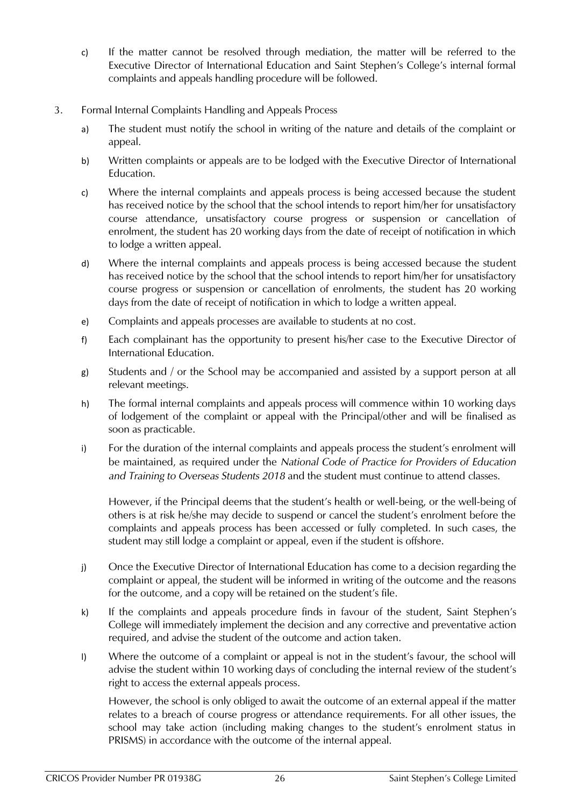- c) If the matter cannot be resolved through mediation, the matter will be referred to the Executive Director of International Education and Saint Stephen's College's internal formal complaints and appeals handling procedure will be followed.
- 3. Formal Internal Complaints Handling and Appeals Process
	- a) The student must notify the school in writing of the nature and details of the complaint or appeal.
	- b) Written complaints or appeals are to be lodged with the Executive Director of International Education.
	- c) Where the internal complaints and appeals process is being accessed because the student has received notice by the school that the school intends to report him/her for unsatisfactory course attendance, unsatisfactory course progress or suspension or cancellation of enrolment, the student has 20 working days from the date of receipt of notification in which to lodge a written appeal.
	- d) Where the internal complaints and appeals process is being accessed because the student has received notice by the school that the school intends to report him/her for unsatisfactory course progress or suspension or cancellation of enrolments, the student has 20 working days from the date of receipt of notification in which to lodge a written appeal.
	- e) Complaints and appeals processes are available to students at no cost.
	- f) Each complainant has the opportunity to present his/her case to the Executive Director of International Education.
	- g) Students and / or the School may be accompanied and assisted by a support person at all relevant meetings.
	- h) The formal internal complaints and appeals process will commence within 10 working days of lodgement of the complaint or appeal with the Principal/other and will be finalised as soon as practicable.
	- i) For the duration of the internal complaints and appeals process the student's enrolment will be maintained, as required under the *National Code of Practice for Providers of Education and Training to Overseas Students 2018* and the student must continue to attend classes.

However, if the Principal deems that the student's health or well-being, or the well-being of others is at risk he/she may decide to suspend or cancel the student's enrolment before the complaints and appeals process has been accessed or fully completed. In such cases, the student may still lodge a complaint or appeal, even if the student is offshore.

- j) Once the Executive Director of International Education has come to a decision regarding the complaint or appeal, the student will be informed in writing of the outcome and the reasons for the outcome, and a copy will be retained on the student's file.
- k) If the complaints and appeals procedure finds in favour of the student, Saint Stephen's College will immediately implement the decision and any corrective and preventative action required, and advise the student of the outcome and action taken.
- l) Where the outcome of a complaint or appeal is not in the student's favour, the school will advise the student within 10 working days of concluding the internal review of the student's right to access the external appeals process.

However, the school is only obliged to await the outcome of an external appeal if the matter relates to a breach of course progress or attendance requirements. For all other issues, the school may take action (including making changes to the student's enrolment status in PRISMS) in accordance with the outcome of the internal appeal.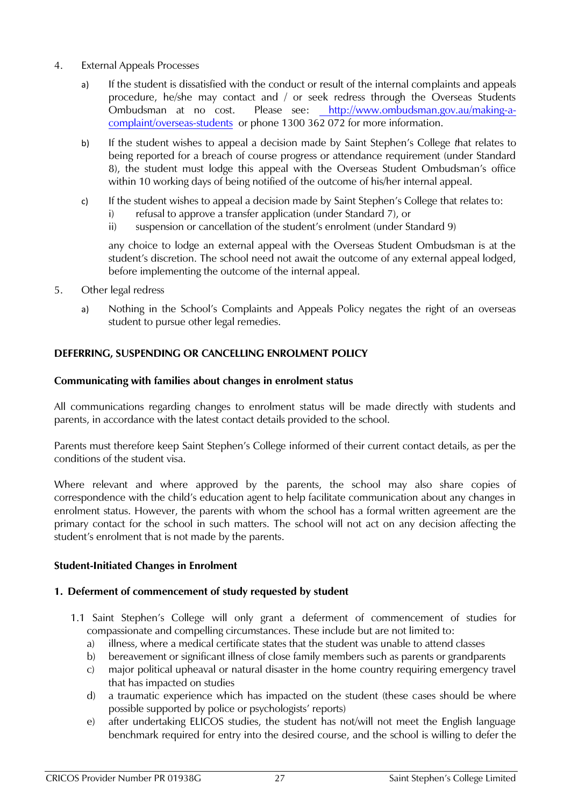- 4. External Appeals Processes
	- a) If the student is dissatisfied with the conduct or result of the internal complaints and appeals procedure, he/she may contact and / or seek redress through the Overseas Students Ombudsman at no cost. Please see: [http://www.ombudsman.gov.au/making-a](http://www.ombudsman.gov.au/making-a-complaint/overseas-students)[complaint/overseas-students](http://www.ombudsman.gov.au/making-a-complaint/overseas-students) or phone 1300 362 072 for more information.
	- b) If the student wishes to appeal a decision made by Saint Stephen's College *t*hat relates to being reported for a breach of course progress or attendance requirement (under Standard 8), the student must lodge this appeal with the Overseas Student Ombudsman's office within 10 working days of being notified of the outcome of his/her internal appeal.
	- c) If the student wishes to appeal a decision made by Saint Stephen's College that relates to:
		- i) refusal to approve a transfer application (under Standard 7), or
		- ii) suspension or cancellation of the student's enrolment (under Standard 9)

any choice to lodge an external appeal with the Overseas Student Ombudsman is at the student's discretion. The school need not await the outcome of any external appeal lodged, before implementing the outcome of the internal appeal.

- 5. Other legal redress
	- a) Nothing in the School's Complaints and Appeals Policy negates the right of an overseas student to pursue other legal remedies.

## <span id="page-25-0"></span>**DEFERRING, SUSPENDING OR CANCELLING ENROLMENT POLICY**

#### **Communicating with families about changes in enrolment status**

All communications regarding changes to enrolment status will be made directly with students and parents, in accordance with the latest contact details provided to the school.

Parents must therefore keep Saint Stephen's College informed of their current contact details, as per the conditions of the student visa.

Where relevant and where approved by the parents, the school may also share copies of correspondence with the child's education agent to help facilitate communication about any changes in enrolment status. However, the parents with whom the school has a formal written agreement are the primary contact for the school in such matters. The school will not act on any decision affecting the student's enrolment that is not made by the parents.

#### <span id="page-25-1"></span>**Student-Initiated Changes in Enrolment**

## **1. Deferment of commencement of study requested by student**

- 1.1 Saint Stephen's College will only grant a deferment of commencement of studies for compassionate and compelling circumstances. These include but are not limited to:
	- a) illness, where a medical certificate states that the student was unable to attend classes
	- b) bereavement or significant illness of close family members such as parents or grandparents
	- c) major political upheaval or natural disaster in the home country requiring emergency travel that has impacted on studies
	- d) a traumatic experience which has impacted on the student (these cases should be where possible supported by police or psychologists' reports)
	- e) after undertaking ELICOS studies, the student has not/will not meet the English language benchmark required for entry into the desired course, and the school is willing to defer the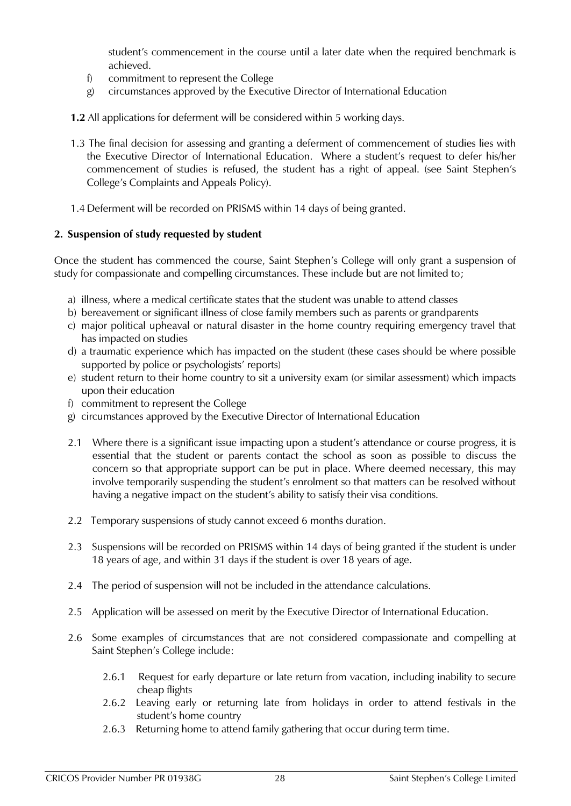student's commencement in the course until a later date when the required benchmark is achieved.

- f) commitment to represent the College
- g) circumstances approved by the Executive Director of International Education
- **1.2** All applications for deferment will be considered within 5 working days.
- 1.3 The final decision for assessing and granting a deferment of commencement of studies lies with the Executive Director of International Education. Where a student's request to defer his/her commencement of studies is refused, the student has a right of appeal. (see Saint Stephen's College's Complaints and Appeals Policy).
- 1.4 Deferment will be recorded on PRISMS within 14 days of being granted.

## **2. Suspension of study requested by student**

Once the student has commenced the course, Saint Stephen's College will only grant a suspension of study for compassionate and compelling circumstances. These include but are not limited to;

- a) illness, where a medical certificate states that the student was unable to attend classes
- b) bereavement or significant illness of close family members such as parents or grandparents
- c) major political upheaval or natural disaster in the home country requiring emergency travel that has impacted on studies
- d) a traumatic experience which has impacted on the student (these cases should be where possible supported by police or psychologists' reports)
- e) student return to their home country to sit a university exam (or similar assessment) which impacts upon their education
- f) commitment to represent the College
- g) circumstances approved by the Executive Director of International Education
- 2.1 Where there is a significant issue impacting upon a student's attendance or course progress, it is essential that the student or parents contact the school as soon as possible to discuss the concern so that appropriate support can be put in place. Where deemed necessary, this may involve temporarily suspending the student's enrolment so that matters can be resolved without having a negative impact on the student's ability to satisfy their visa conditions.
- 2.2 Temporary suspensions of study cannot exceed 6 months duration.
- 2.3 Suspensions will be recorded on PRISMS within 14 days of being granted if the student is under 18 years of age, and within 31 days if the student is over 18 years of age.
- 2.4 The period of suspension will not be included in the attendance calculations.
- 2.5 Application will be assessed on merit by the Executive Director of International Education.
- 2.6 Some examples of circumstances that are not considered compassionate and compelling at Saint Stephen's College include:
	- 2.6.1 Request for early departure or late return from vacation, including inability to secure cheap flights
	- 2.6.2 Leaving early or returning late from holidays in order to attend festivals in the student's home country
	- 2.6.3 Returning home to attend family gathering that occur during term time.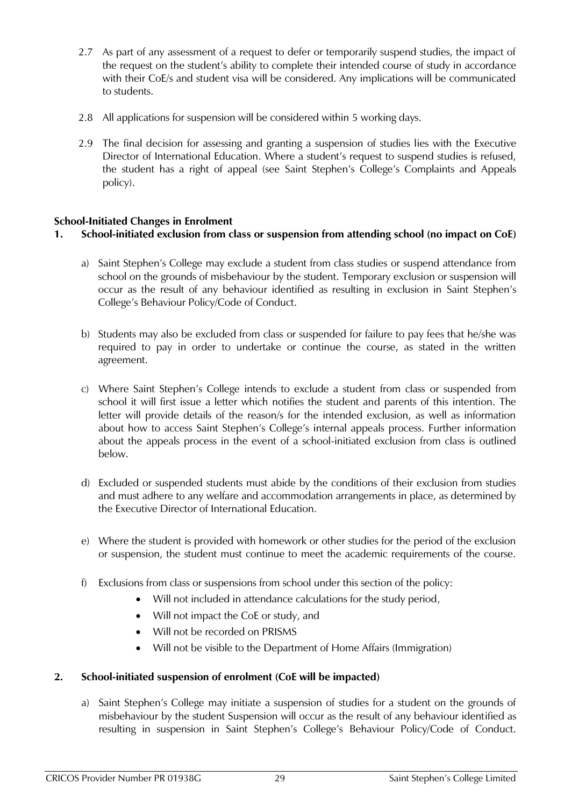- 2.7 As part of any assessment of a request to defer or temporarily suspend studies, the impact of the request on the student's ability to complete their intended course of study in accordance with their CoE/s and student visa will be considered. Any implications will be communicated to students.
- 2.8 All applications for suspension will be considered within 5 working days.
- 2.9 The final decision for assessing and granting a suspension of studies lies with the Executive Director of International Education. Where a student's request to suspend studies is refused, the student has a right of appeal (see Saint Stephen's College's Complaints and Appeals policy).

## <span id="page-27-0"></span>**School-Initiated Changes in Enrolment**

## **1. School-initiated exclusion from class or suspension from attending school (no impact on CoE)**

- a) Saint Stephen's College may exclude a student from class studies or suspend attendance from school on the grounds of misbehaviour by the student. Temporary exclusion or suspension will occur as the result of any behaviour identified as resulting in exclusion in Saint Stephen's College's Behaviour Policy/Code of Conduct.
- b) Students may also be excluded from class or suspended for failure to pay fees that he/she was required to pay in order to undertake or continue the course, as stated in the written agreement.
- c) Where Saint Stephen's College intends to exclude a student from class or suspended from school it will first issue a letter which notifies the student and parents of this intention. The letter will provide details of the reason/s for the intended exclusion, as well as information about how to access Saint Stephen's College's internal appeals process. Further information about the appeals process in the event of a school-initiated exclusion from class is outlined below.
- d) Excluded or suspended students must abide by the conditions of their exclusion from studies and must adhere to any welfare and accommodation arrangements in place, as determined by the Executive Director of International Education.
- e) Where the student is provided with homework or other studies for the period of the exclusion or suspension, the student must continue to meet the academic requirements of the course.
- f) Exclusions from class or suspensions from school under this section of the policy:
	- Will not included in attendance calculations for the study period,
	- Will not impact the CoE or study, and
	- Will not be recorded on PRISMS
	- Will not be visible to the Department of Home Affairs (Immigration)

## **2. School-initiated suspension of enrolment (CoE will be impacted)**

a) Saint Stephen's College may initiate a suspension of studies for a student on the grounds of misbehaviour by the student Suspension will occur as the result of any behaviour identified as resulting in suspension in Saint Stephen's College's Behaviour Policy/Code of Conduct.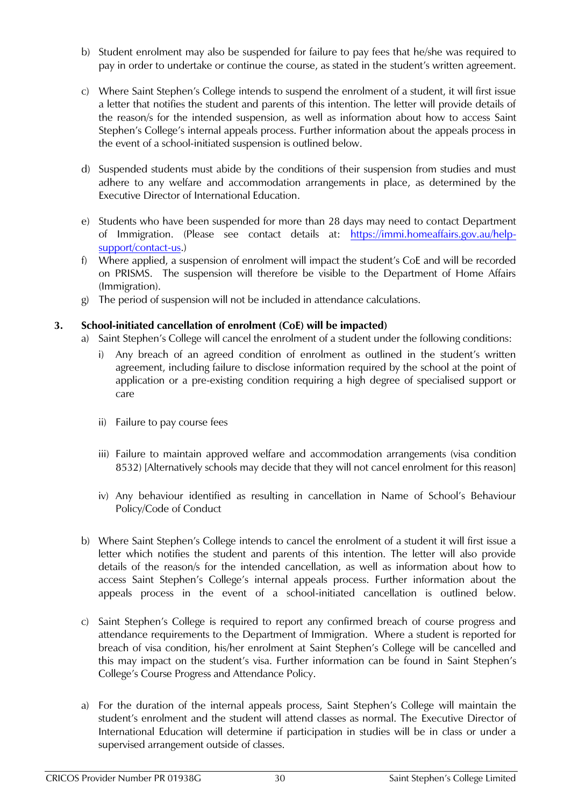- b) Student enrolment may also be suspended for failure to pay fees that he/she was required to pay in order to undertake or continue the course, as stated in the student's written agreement.
- c) Where Saint Stephen's College intends to suspend the enrolment of a student, it will first issue a letter that notifies the student and parents of this intention. The letter will provide details of the reason/s for the intended suspension, as well as information about how to access Saint Stephen's College's internal appeals process. Further information about the appeals process in the event of a school-initiated suspension is outlined below.
- d) Suspended students must abide by the conditions of their suspension from studies and must adhere to any welfare and accommodation arrangements in place, as determined by the Executive Director of International Education.
- e) Students who have been suspended for more than 28 days may need to contact Department of Immigration. (Please see contact details at: [https://immi.homeaffairs.gov.au/help](https://immi.homeaffairs.gov.au/help-support/contact-us)[support/contact-us.](https://immi.homeaffairs.gov.au/help-support/contact-us))
- f) Where applied, a suspension of enrolment will impact the student's CoE and will be recorded on PRISMS. The suspension will therefore be visible to the Department of Home Affairs (Immigration).
- g) The period of suspension will not be included in attendance calculations.

## **3. School-initiated cancellation of enrolment (CoE) will be impacted)**

- a) Saint Stephen's College will cancel the enrolment of a student under the following conditions:
	- Any breach of an agreed condition of enrolment as outlined in the student's written agreement, including failure to disclose information required by the school at the point of application or a pre-existing condition requiring a high degree of specialised support or care
	- ii) Failure to pay course fees
	- iii) Failure to maintain approved welfare and accommodation arrangements (visa condition 8532) [Alternatively schools may decide that they will not cancel enrolment for this reason]
	- iv) Any behaviour identified as resulting in cancellation in Name of School's Behaviour Policy/Code of Conduct
- b) Where Saint Stephen's College intends to cancel the enrolment of a student it will first issue a letter which notifies the student and parents of this intention. The letter will also provide details of the reason/s for the intended cancellation, as well as information about how to access Saint Stephen's College's internal appeals process. Further information about the appeals process in the event of a school-initiated cancellation is outlined below.
- c) Saint Stephen's College is required to report any confirmed breach of course progress and attendance requirements to the Department of Immigration. Where a student is reported for breach of visa condition, his/her enrolment at Saint Stephen's College will be cancelled and this may impact on the student's visa. Further information can be found in Saint Stephen's College's Course Progress and Attendance Policy.
- a) For the duration of the internal appeals process, Saint Stephen's College will maintain the student's enrolment and the student will attend classes as normal. The Executive Director of International Education will determine if participation in studies will be in class or under a supervised arrangement outside of classes.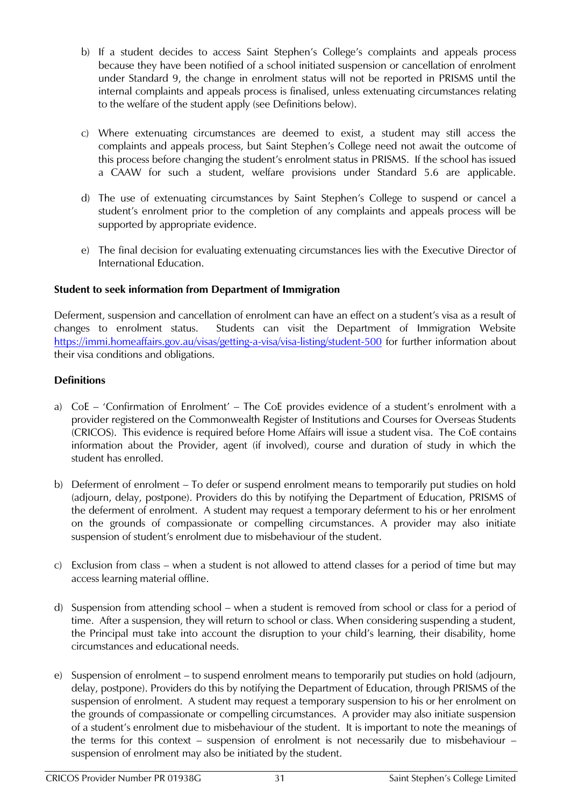- b) If a student decides to access Saint Stephen's College's complaints and appeals process because they have been notified of a school initiated suspension or cancellation of enrolment under Standard 9, the change in enrolment status will not be reported in PRISMS until the internal complaints and appeals process is finalised, unless extenuating circumstances relating to the welfare of the student apply (see Definitions below).
- c) Where extenuating circumstances are deemed to exist, a student may still access the complaints and appeals process, but Saint Stephen's College need not await the outcome of this process before changing the student's enrolment status in PRISMS. If the school has issued a CAAW for such a student, welfare provisions under Standard 5.6 are applicable.
- d) The use of extenuating circumstances by Saint Stephen's College to suspend or cancel a student's enrolment prior to the completion of any complaints and appeals process will be supported by appropriate evidence.
- e) The final decision for evaluating extenuating circumstances lies with the Executive Director of International Education.

## **Student to seek information from Department of Immigration**

Deferment, suspension and cancellation of enrolment can have an effect on a student's visa as a result of changes to enrolment status. Students can visit the Department of Immigration Website <https://immi.homeaffairs.gov.au/visas/getting-a-visa/visa-listing/student-500> for further information about their visa conditions and obligations.

## **Definitions**

- a) CoE 'Confirmation of Enrolment' The CoE provides evidence of a student's enrolment with a provider registered on the Commonwealth Register of Institutions and Courses for Overseas Students (CRICOS). This evidence is required before Home Affairs will issue a student visa. The CoE contains information about the Provider, agent (if involved), course and duration of study in which the student has enrolled.
- b) Deferment of enrolment To defer or suspend enrolment means to temporarily put studies on hold (adjourn, delay, postpone). Providers do this by notifying the Department of Education, PRISMS of the deferment of enrolment. A student may request a temporary deferment to his or her enrolment on the grounds of compassionate or compelling circumstances. A provider may also initiate suspension of student's enrolment due to misbehaviour of the student.
- c) Exclusion from class when a student is not allowed to attend classes for a period of time but may access learning material offline.
- d) Suspension from attending school when a student is removed from school or class for a period of time. After a suspension, they will return to school or class. When considering suspending a student, the Principal must take into account the disruption to your child's learning, their disability, home circumstances and educational needs.
- e) Suspension of enrolment to suspend enrolment means to temporarily put studies on hold (adjourn, delay, postpone). Providers do this by notifying the Department of Education, through PRISMS of the suspension of enrolment. A student may request a temporary suspension to his or her enrolment on the grounds of compassionate or compelling circumstances. A provider may also initiate suspension of a student's enrolment due to misbehaviour of the student. It is important to note the meanings of the terms for this context – suspension of enrolment is not necessarily due to misbehaviour – suspension of enrolment may also be initiated by the student.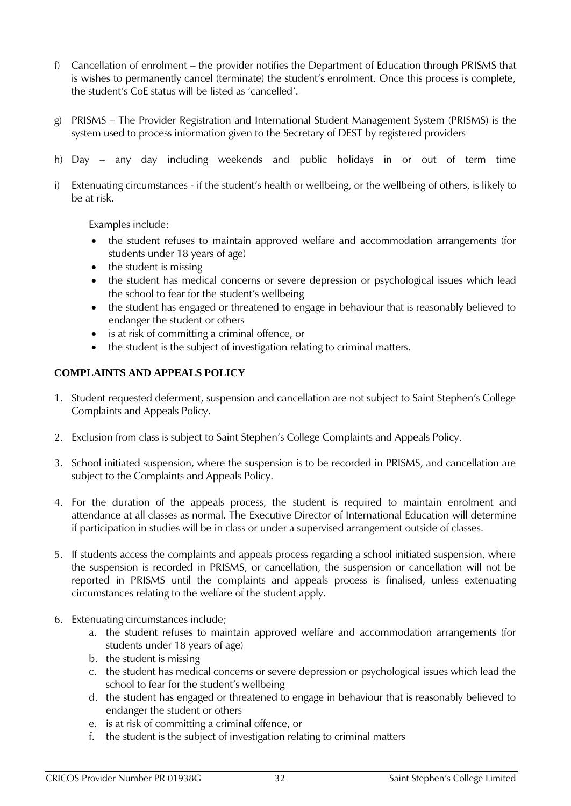- f) Cancellation of enrolment the provider notifies the Department of Education through PRISMS that is wishes to permanently cancel (terminate) the student's enrolment. Once this process is complete, the student's CoE status will be listed as 'cancelled'.
- g) PRISMS The Provider Registration and International Student Management System (PRISMS) is the system used to process information given to the Secretary of DEST by registered providers
- h) Day any day including weekends and public holidays in or out of term time
- i) Extenuating circumstances if the student's health or wellbeing, or the wellbeing of others, is likely to be at risk.

Examples include:

- the student refuses to maintain approved welfare and accommodation arrangements (for students under 18 years of age)
- the student is missing
- the student has medical concerns or severe depression or psychological issues which lead the school to fear for the student's wellbeing
- the student has engaged or threatened to engage in behaviour that is reasonably believed to endanger the student or others
- is at risk of committing a criminal offence, or
- the student is the subject of investigation relating to criminal matters.

#### **COMPLAINTS AND APPEALS POLICY**

- 1. Student requested deferment, suspension and cancellation are not subject to Saint Stephen's College Complaints and Appeals Policy.
- 2. Exclusion from class is subject to Saint Stephen's College Complaints and Appeals Policy.
- 3. School initiated suspension, where the suspension is to be recorded in PRISMS, and cancellation are subject to the Complaints and Appeals Policy.
- 4. For the duration of the appeals process, the student is required to maintain enrolment and attendance at all classes as normal. The Executive Director of International Education will determine if participation in studies will be in class or under a supervised arrangement outside of classes.
- 5. If students access the complaints and appeals process regarding a school initiated suspension, where the suspension is recorded in PRISMS, or cancellation, the suspension or cancellation will not be reported in PRISMS until the complaints and appeals process is finalised, unless extenuating circumstances relating to the welfare of the student apply.
- 6. Extenuating circumstances include;
	- a. the student refuses to maintain approved welfare and accommodation arrangements (for students under 18 years of age)
	- b. the student is missing
	- c. the student has medical concerns or severe depression or psychological issues which lead the school to fear for the student's wellbeing
	- d. the student has engaged or threatened to engage in behaviour that is reasonably believed to endanger the student or others
	- e. is at risk of committing a criminal offence, or
	- f. the student is the subject of investigation relating to criminal matters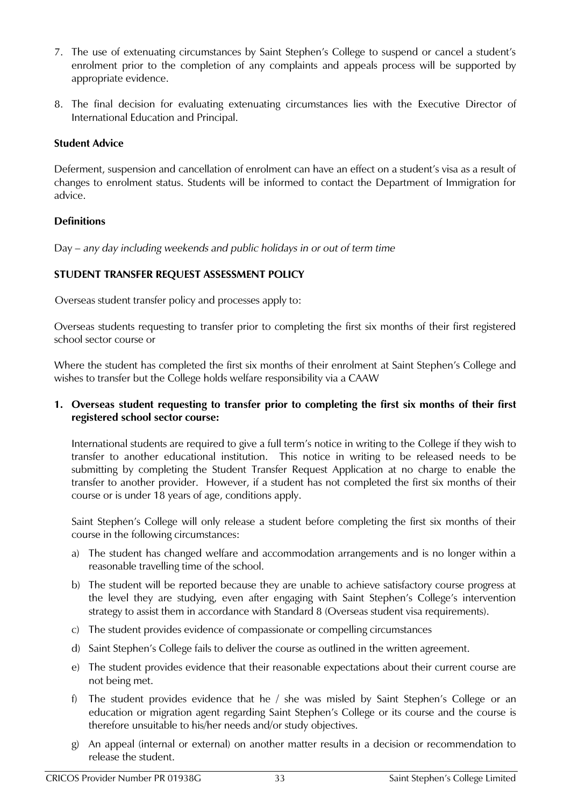- 7. The use of extenuating circumstances by Saint Stephen's College to suspend or cancel a student's enrolment prior to the completion of any complaints and appeals process will be supported by appropriate evidence.
- 8. The final decision for evaluating extenuating circumstances lies with the Executive Director of International Education and Principal.

#### **Student Advice**

Deferment, suspension and cancellation of enrolment can have an effect on a student's visa as a result of changes to enrolment status. Students will be informed to contact the Department of Immigration for advice.

#### **Definitions**

Day – *any day including weekends and public holidays in or out of term time*

#### <span id="page-31-0"></span>**STUDENT TRANSFER REQUEST ASSESSMENT POLICY**

Overseas student transfer policy and processes apply to:

Overseas students requesting to transfer prior to completing the first six months of their first registered school sector course or

Where the student has completed the first six months of their enrolment at Saint Stephen's College and wishes to transfer but the College holds welfare responsibility via a CAAW

#### **1. Overseas student requesting to transfer prior to completing the first six months of their first registered school sector course:**

International students are required to give a full term's notice in writing to the College if they wish to transfer to another educational institution. This notice in writing to be released needs to be submitting by completing the Student Transfer Request Application at no charge to enable the transfer to another provider. However, if a student has not completed the first six months of their course or is under 18 years of age, conditions apply.

Saint Stephen's College will only release a student before completing the first six months of their course in the following circumstances:

- a) The student has changed welfare and accommodation arrangements and is no longer within a reasonable travelling time of the school.
- b) The student will be reported because they are unable to achieve satisfactory course progress at the level they are studying, even after engaging with Saint Stephen's College's intervention strategy to assist them in accordance with Standard 8 (Overseas student visa requirements).
- c) The student provides evidence of compassionate or compelling circumstances
- d) Saint Stephen's College fails to deliver the course as outlined in the written agreement.
- e) The student provides evidence that their reasonable expectations about their current course are not being met.
- f) The student provides evidence that he / she was misled by Saint Stephen's College or an education or migration agent regarding Saint Stephen's College or its course and the course is therefore unsuitable to his/her needs and/or study objectives.
- g) An appeal (internal or external) on another matter results in a decision or recommendation to release the student.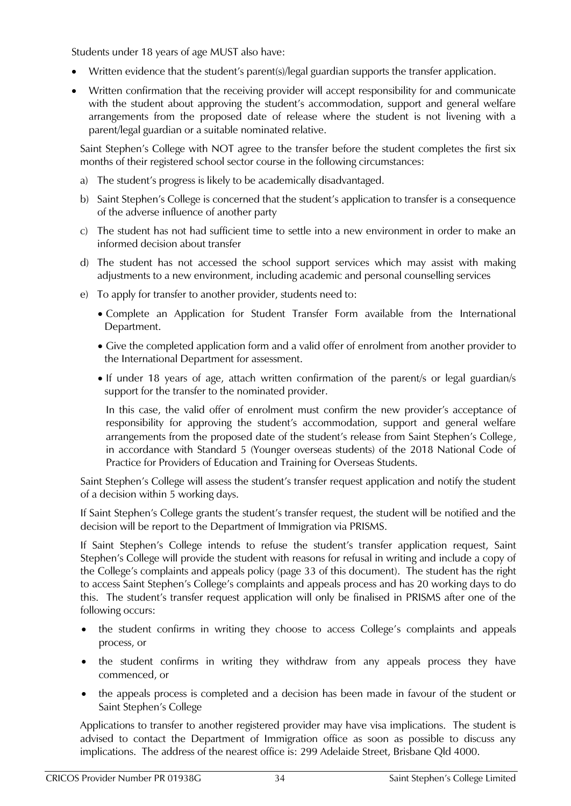Students under 18 years of age MUST also have:

- Written evidence that the student's parent(s)/legal guardian supports the transfer application.
- Written confirmation that the receiving provider will accept responsibility for and communicate with the student about approving the student's accommodation, support and general welfare arrangements from the proposed date of release where the student is not livening with a parent/legal guardian or a suitable nominated relative.

Saint Stephen's College with NOT agree to the transfer before the student completes the first six months of their registered school sector course in the following circumstances:

- a) The student's progress is likely to be academically disadvantaged.
- b) Saint Stephen's College is concerned that the student's application to transfer is a consequence of the adverse influence of another party
- c) The student has not had sufficient time to settle into a new environment in order to make an informed decision about transfer
- d) The student has not accessed the school support services which may assist with making adjustments to a new environment, including academic and personal counselling services
- e) To apply for transfer to another provider, students need to:
	- Complete an Application for Student Transfer Form available from the International Department.
	- Give the completed application form and a valid offer of enrolment from another provider to the International Department for assessment.
	- If under 18 years of age, attach written confirmation of the parent/s or legal guardian/s support for the transfer to the nominated provider.

In this case, the valid offer of enrolment must confirm the new provider's acceptance of responsibility for approving the student's accommodation, support and general welfare arrangements from the proposed date of the student's release from Saint Stephen's College*,*  in accordance with Standard 5 (Younger overseas students) of the 2018 National Code of Practice for Providers of Education and Training for Overseas Students.

Saint Stephen's College will assess the student's transfer request application and notify the student of a decision within 5 working days.

If Saint Stephen's College grants the student's transfer request, the student will be notified and the decision will be report to the Department of Immigration via PRISMS.

If Saint Stephen's College intends to refuse the student's transfer application request, Saint Stephen's College will provide the student with reasons for refusal in writing and include a copy of the College's complaints and appeals policy (page 33 of this document). The student has the right to access Saint Stephen's College's complaints and appeals process and has 20 working days to do this. The student's transfer request application will only be finalised in PRISMS after one of the following occurs:

- the student confirms in writing they choose to access College's complaints and appeals process, or
- the student confirms in writing they withdraw from any appeals process they have commenced, or
- the appeals process is completed and a decision has been made in favour of the student or Saint Stephen's College

Applications to transfer to another registered provider may have visa implications. The student is advised to contact the Department of Immigration office as soon as possible to discuss any implications. The address of the nearest office is: 299 Adelaide Street, Brisbane Qld 4000.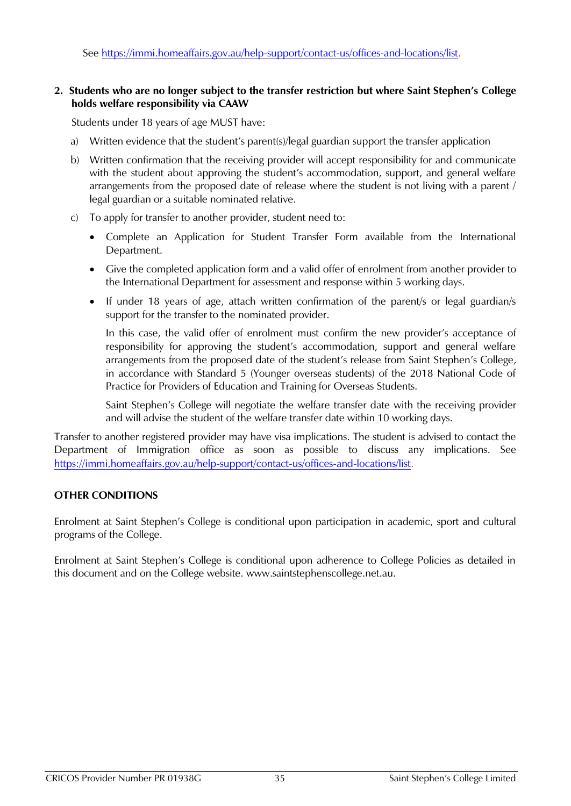See<https://immi.homeaffairs.gov.au/help-support/contact-us/offices-and-locations/list>*.*

#### **2. Students who are no longer subject to the transfer restriction but where Saint Stephen's College holds welfare responsibility via CAAW**

Students under 18 years of age MUST have:

- a) Written evidence that the student's parent(s)/legal guardian support the transfer application
- b) Written confirmation that the receiving provider will accept responsibility for and communicate with the student about approving the student's accommodation, support, and general welfare arrangements from the proposed date of release where the student is not living with a parent / legal guardian or a suitable nominated relative.
- c) To apply for transfer to another provider, student need to:
	- Complete an Application for Student Transfer Form available from the International Department.
	- Give the completed application form and a valid offer of enrolment from another provider to the International Department for assessment and response within 5 working days.
	- If under 18 years of age, attach written confirmation of the parent/s or legal guardian/s support for the transfer to the nominated provider.

In this case, the valid offer of enrolment must confirm the new provider's acceptance of responsibility for approving the student's accommodation, support and general welfare arrangements from the proposed date of the student's release from Saint Stephen's College*,*  in accordance with Standard 5 (Younger overseas students) of the 2018 National Code of Practice for Providers of Education and Training for Overseas Students.

Saint Stephen's College will negotiate the welfare transfer date with the receiving provider and will advise the student of the welfare transfer date within 10 working days.

Transfer to another registered provider may have visa implications. The student is advised to contact the Department of Immigration office as soon as possible to discuss any implications. See <https://immi.homeaffairs.gov.au/help-support/contact-us/offices-and-locations/list>*.* 

#### <span id="page-33-0"></span>**OTHER CONDITIONS**

Enrolment at Saint Stephen's College is conditional upon participation in academic, sport and cultural programs of the College.

<span id="page-33-1"></span>Enrolment at Saint Stephen's College is conditional upon adherence to College Policies as detailed in this document and on the College website. www.saintstephenscollege.net.au.